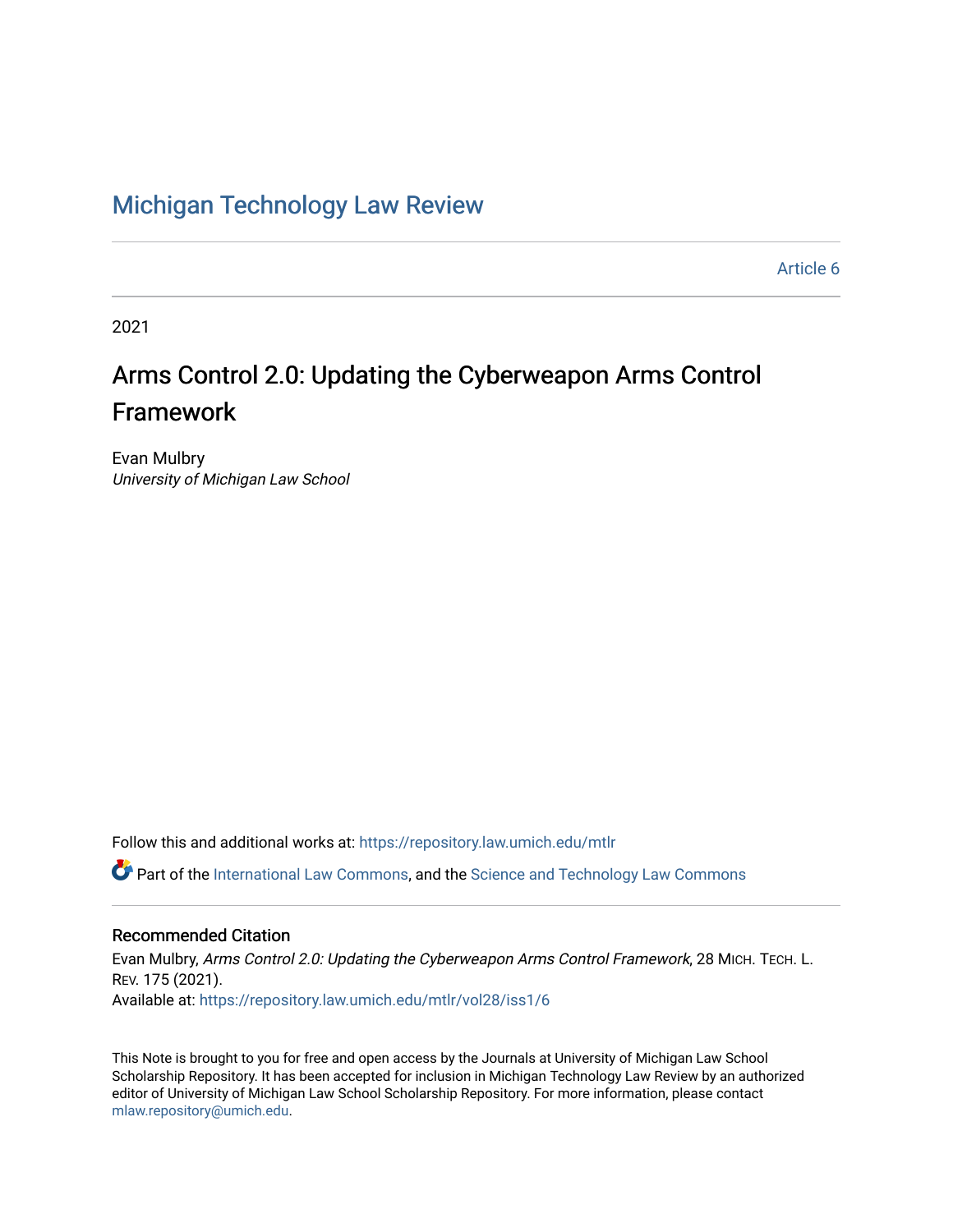# [Michigan Technology Law Review](https://repository.law.umich.edu/mtlr)

[Article 6](https://repository.law.umich.edu/mtlr/vol28/iss1/6) 

2021

# Arms Control 2.0: Updating the Cyberweapon Arms Control Framework

Evan Mulbry University of Michigan Law School

Follow this and additional works at: [https://repository.law.umich.edu/mtlr](https://repository.law.umich.edu/mtlr?utm_source=repository.law.umich.edu%2Fmtlr%2Fvol28%2Fiss1%2F6&utm_medium=PDF&utm_campaign=PDFCoverPages) 

Part of the [International Law Commons,](http://network.bepress.com/hgg/discipline/609?utm_source=repository.law.umich.edu%2Fmtlr%2Fvol28%2Fiss1%2F6&utm_medium=PDF&utm_campaign=PDFCoverPages) and the [Science and Technology Law Commons](http://network.bepress.com/hgg/discipline/875?utm_source=repository.law.umich.edu%2Fmtlr%2Fvol28%2Fiss1%2F6&utm_medium=PDF&utm_campaign=PDFCoverPages) 

# Recommended Citation

Evan Mulbry, Arms Control 2.0: Updating the Cyberweapon Arms Control Framework, 28 MICH. TECH. L. REV. 175 (2021). Available at: [https://repository.law.umich.edu/mtlr/vol28/iss1/6](https://repository.law.umich.edu/mtlr/vol28/iss1/6?utm_source=repository.law.umich.edu%2Fmtlr%2Fvol28%2Fiss1%2F6&utm_medium=PDF&utm_campaign=PDFCoverPages) 

This Note is brought to you for free and open access by the Journals at University of Michigan Law School Scholarship Repository. It has been accepted for inclusion in Michigan Technology Law Review by an authorized editor of University of Michigan Law School Scholarship Repository. For more information, please contact [mlaw.repository@umich.edu.](mailto:mlaw.repository@umich.edu)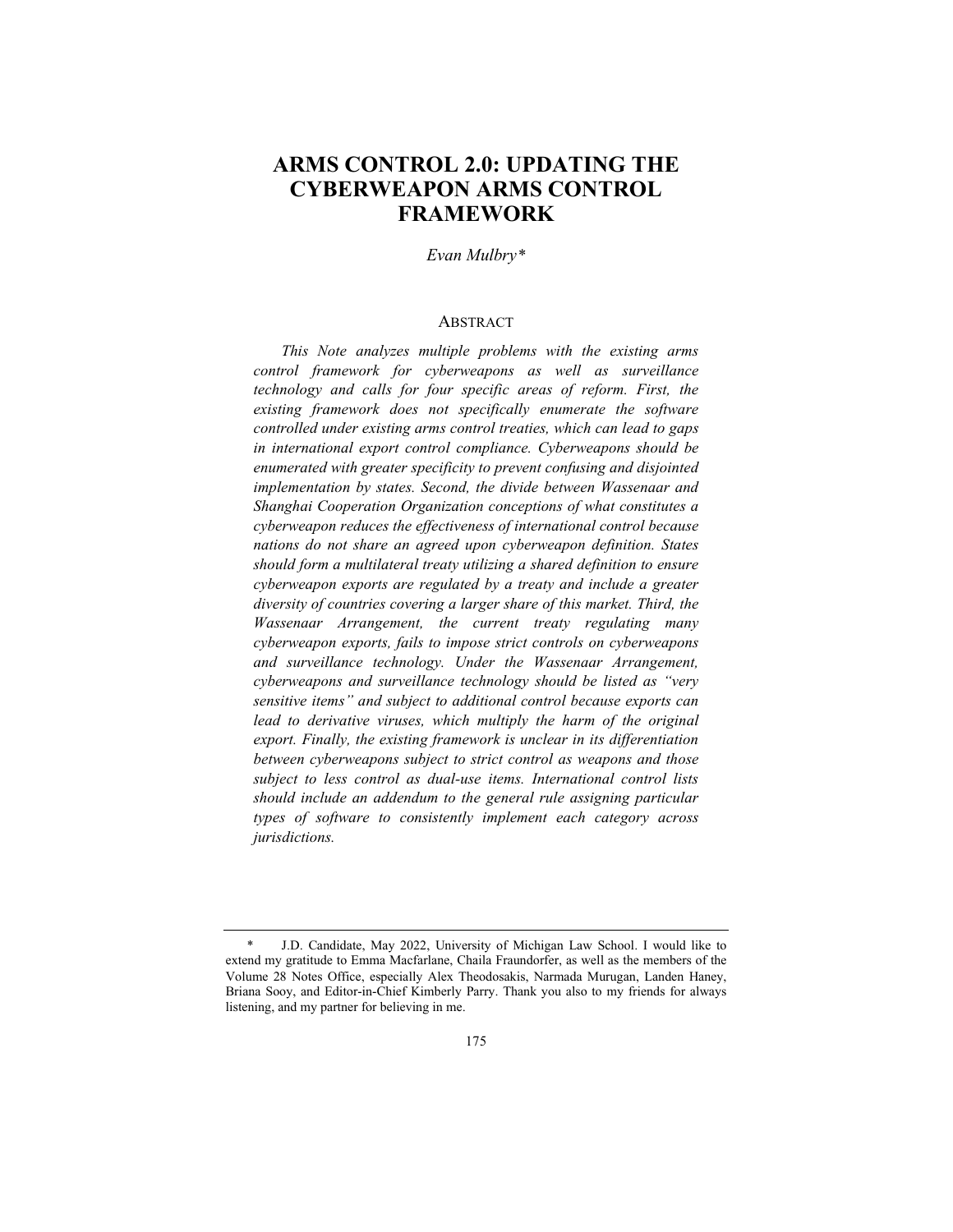# **ARMS CONTROL 2.0: UPDATING THE CYBERWEAPON ARMS CONTROL FRAMEWORK**

*Evan Mulbry\**

#### **ABSTRACT**

*This Note analyzes multiple problems with the existing arms control framework for cyberweapons as well as surveillance technology and calls for four specific areas of reform. First, the existing framework does not specifically enumerate the software controlled under existing arms control treaties, which can lead to gaps in international export control compliance. Cyberweapons should be enumerated with greater specificity to prevent confusing and disjointed implementation by states. Second, the divide between Wassenaar and Shanghai Cooperation Organization conceptions of what constitutes a cyberweapon reduces the effectiveness of international control because nations do not share an agreed upon cyberweapon definition. States should form a multilateral treaty utilizing a shared definition to ensure cyberweapon exports are regulated by a treaty and include a greater diversity of countries covering a larger share of this market. Third, the Wassenaar Arrangement, the current treaty regulating many cyberweapon exports, fails to impose strict controls on cyberweapons and surveillance technology. Under the Wassenaar Arrangement, cyberweapons and surveillance technology should be listed as "very sensitive items" and subject to additional control because exports can*  lead to derivative viruses, which multiply the harm of the original *export. Finally, the existing framework is unclear in its differentiation between cyberweapons subject to strict control as weapons and those subject to less control as dual-use items. International control lists should include an addendum to the general rule assigning particular types of software to consistently implement each category across jurisdictions.* 

<sup>\*</sup> J.D. Candidate, May 2022, University of Michigan Law School. I would like to extend my gratitude to Emma Macfarlane, Chaila Fraundorfer, as well as the members of the Volume 28 Notes Office, especially Alex Theodosakis, Narmada Murugan, Landen Haney, Briana Sooy, and Editor-in-Chief Kimberly Parry. Thank you also to my friends for always listening, and my partner for believing in me.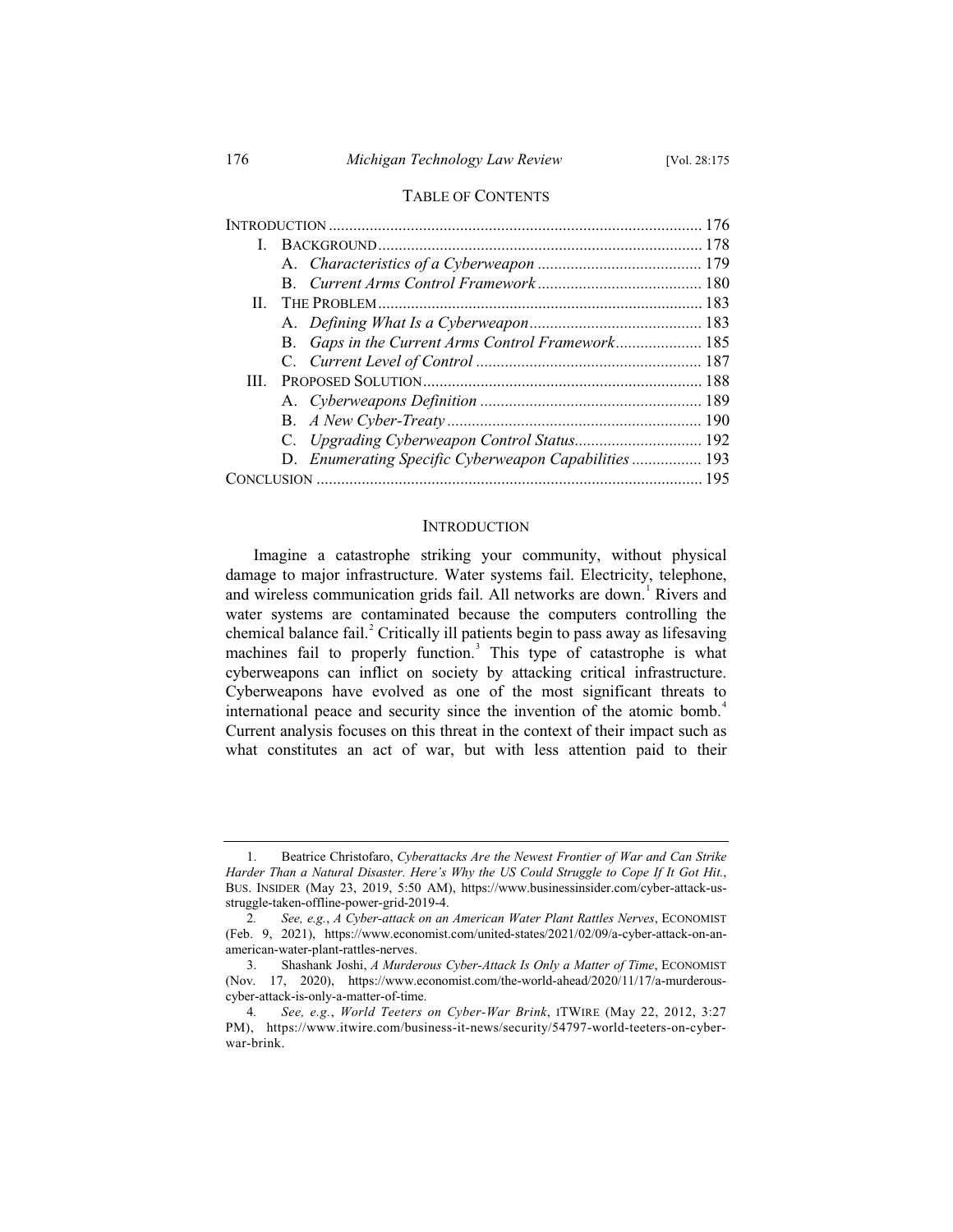# TABLE OF CONTENTS

| Н. |  |                                                      |  |
|----|--|------------------------------------------------------|--|
|    |  |                                                      |  |
|    |  | B. Gaps in the Current Arms Control Framework 185    |  |
|    |  |                                                      |  |
| Ш  |  |                                                      |  |
|    |  |                                                      |  |
|    |  |                                                      |  |
|    |  |                                                      |  |
|    |  | D. Enumerating Specific Cyberweapon Capabilities 193 |  |
|    |  |                                                      |  |

#### INTRODUCTION

Imagine a catastrophe striking your community, without physical damage to major infrastructure. Water systems fail. Electricity, telephone, and wireless communication grids fail. All networks are down.<sup>1</sup> Rivers and water systems are contaminated because the computers controlling the chemical balance fail. $^{2}$  Critically ill patients begin to pass away as lifesaving machines fail to properly function.<sup>3</sup> This type of catastrophe is what cyberweapons can inflict on society by attacking critical infrastructure. Cyberweapons have evolved as one of the most significant threats to international peace and security since the invention of the atomic bomb.<sup>4</sup> Current analysis focuses on this threat in the context of their impact such as what constitutes an act of war, but with less attention paid to their

<sup>1.</sup> Beatrice Christofaro, *Cyberattacks Are the Newest Frontier of War and Can Strike Harder Than a Natural Disaster. Here's Why the US Could Struggle to Cope If It Got Hit.*, BUS. INSIDER (May 23, 2019, 5:50 AM), https://www.businessinsider.com/cyber-attack-usstruggle-taken-offline-power-grid-2019-4.

<sup>2</sup>*. See, e.g.*, *A Cyber-attack on an American Water Plant Rattles Nerves*, ECONOMIST (Feb. 9, 2021), https://www.economist.com/united-states/2021/02/09/a-cyber-attack-on-anamerican-water-plant-rattles-nerves.

<sup>3.</sup> Shashank Joshi, *A Murderous Cyber-Attack Is Only a Matter of Time*, ECONOMIST (Nov. 17, 2020), https://www.economist.com/the-world-ahead/2020/11/17/a-murderouscyber-attack-is-only-a-matter-of-time.

<sup>4</sup>*. See, e.g.*, *World Teeters on Cyber-War Brink*, ITWIRE (May 22, 2012, 3:27 PM), https://www.itwire.com/business-it-news/security/54797-world-teeters-on-cyberwar-brink.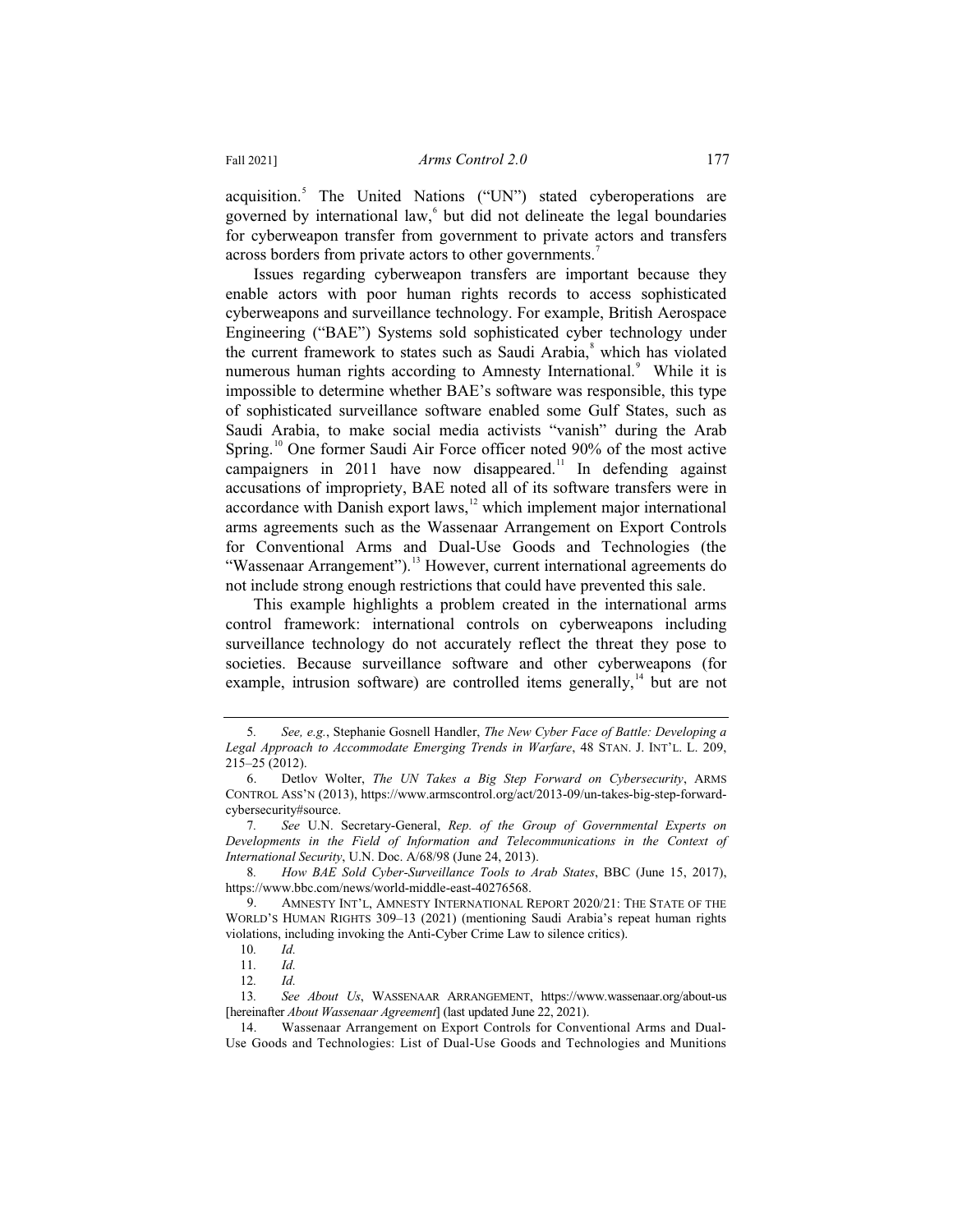acquisition.<sup>5</sup> The United Nations ("UN") stated cyberoperations are governed by international law, $6$  but did not delineate the legal boundaries for cyberweapon transfer from government to private actors and transfers across borders from private actors to other governments.<sup>7</sup>

Issues regarding cyberweapon transfers are important because they enable actors with poor human rights records to access sophisticated cyberweapons and surveillance technology. For example, British Aerospace Engineering ("BAE") Systems sold sophisticated cyber technology under the current framework to states such as Saudi Arabia,<sup>8</sup> which has violated numerous human rights according to Amnesty International.<sup>9</sup> While it is impossible to determine whether BAE's software was responsible, this type of sophisticated surveillance software enabled some Gulf States, such as Saudi Arabia, to make social media activists "vanish" during the Arab Spring.<sup>10</sup> One former Saudi Air Force officer noted 90% of the most active campaigners in 2011 have now disappeared.<sup>11</sup> In defending against accusations of impropriety, BAE noted all of its software transfers were in accordance with Danish export laws,<sup>12</sup> which implement major international arms agreements such as the Wassenaar Arrangement on Export Controls for Conventional Arms and Dual-Use Goods and Technologies (the "Wassenaar Arrangement").<sup>13</sup> However, current international agreements do not include strong enough restrictions that could have prevented this sale.

This example highlights a problem created in the international arms control framework: international controls on cyberweapons including surveillance technology do not accurately reflect the threat they pose to societies. Because surveillance software and other cyberweapons (for example, intrusion software) are controlled items generally,  $\frac{1}{4}$  but are not

<sup>5</sup>*. See, e.g.*, Stephanie Gosnell Handler, *The New Cyber Face of Battle: Developing a Legal Approach to Accommodate Emerging Trends in Warfare*, 48 STAN. J. INT'L. L. 209, 215–25 (2012).

<sup>6.</sup> Detlov Wolter, *The UN Takes a Big Step Forward on Cybersecurity*, ARMS CONTROL ASS'N (2013), https://www.armscontrol.org/act/2013-09/un-takes-big-step-forwardcybersecurity#source.

<sup>7</sup>*. See* U.N. Secretary-General, *Rep. of the Group of Governmental Experts on Developments in the Field of Information and Telecommunications in the Context of International Security*, U.N. Doc. A/68/98 (June 24, 2013).

<sup>8</sup>*. How BAE Sold Cyber-Surveillance Tools to Arab States*, BBC (June 15, 2017), https://www.bbc.com/news/world-middle-east-40276568.

AMNESTY INT'L, AMNESTY INTERNATIONAL REPORT 2020/21: THE STATE OF THE WORLD'S HUMAN RIGHTS 309–13 (2021) (mentioning Saudi Arabia's repeat human rights violations, including invoking the Anti-Cyber Crime Law to silence critics).

<sup>10</sup>*. Id.*

<sup>11</sup>*. Id.*

<sup>12</sup>*. Id.*

<sup>13</sup>*. See About Us*, WASSENAAR ARRANGEMENT, https://www.wassenaar.org/about-us [hereinafter *About Wassenaar Agreement*] (last updated June 22, 2021).

<sup>14.</sup> Wassenaar Arrangement on Export Controls for Conventional Arms and Dual-Use Goods and Technologies: List of Dual-Use Goods and Technologies and Munitions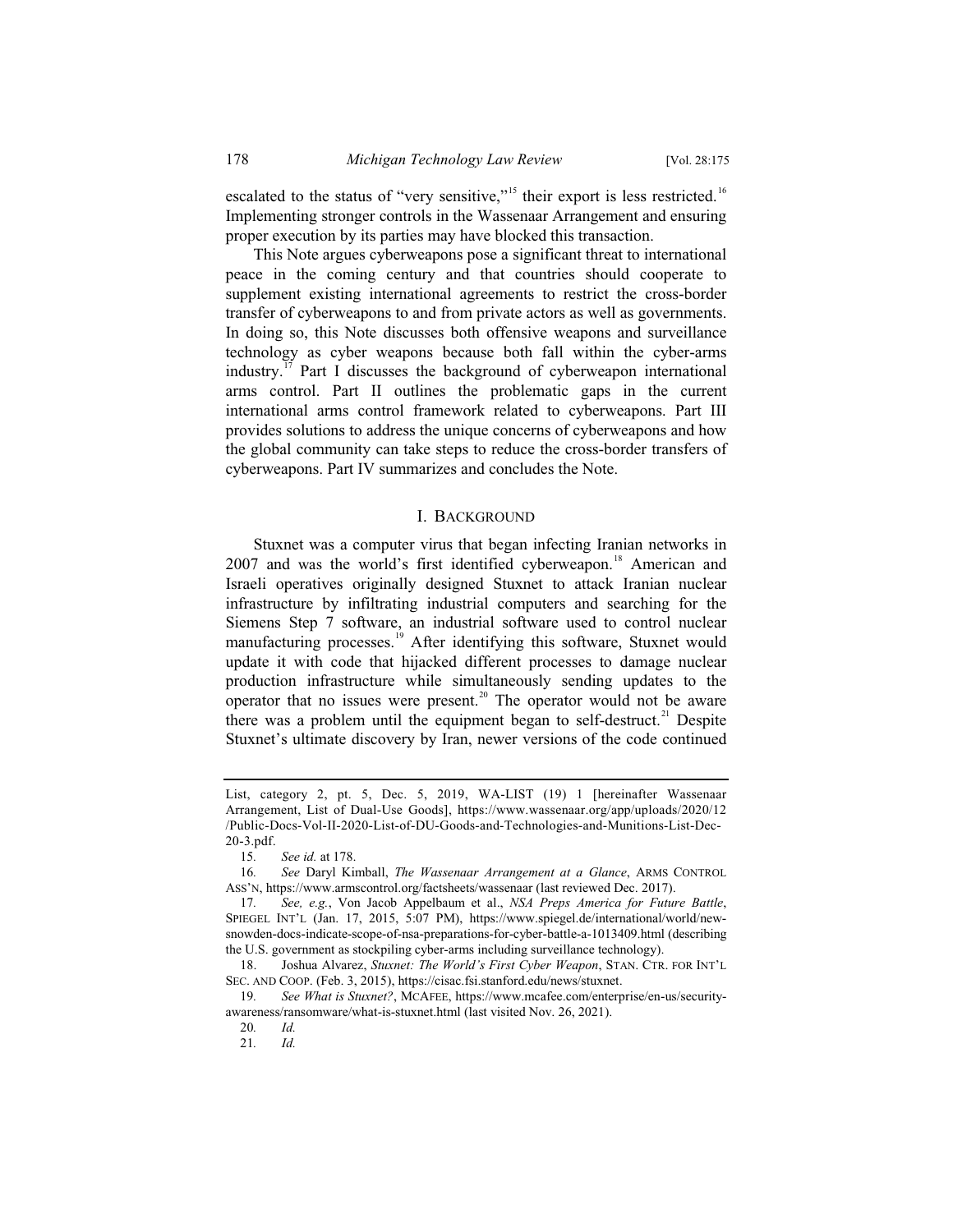escalated to the status of "very sensitive,"<sup>15</sup> their export is less restricted.<sup>16</sup> Implementing stronger controls in the Wassenaar Arrangement and ensuring proper execution by its parties may have blocked this transaction.

This Note argues cyberweapons pose a significant threat to international peace in the coming century and that countries should cooperate to supplement existing international agreements to restrict the cross-border transfer of cyberweapons to and from private actors as well as governments. In doing so, this Note discusses both offensive weapons and surveillance technology as cyber weapons because both fall within the cyber-arms industry.<sup>17</sup> Part I discusses the background of cyberweapon international arms control. Part II outlines the problematic gaps in the current international arms control framework related to cyberweapons. Part III provides solutions to address the unique concerns of cyberweapons and how the global community can take steps to reduce the cross-border transfers of cyberweapons. Part IV summarizes and concludes the Note.

#### I. BACKGROUND

Stuxnet was a computer virus that began infecting Iranian networks in 2007 and was the world's first identified cyberweapon.<sup>18</sup> American and Israeli operatives originally designed Stuxnet to attack Iranian nuclear infrastructure by infiltrating industrial computers and searching for the Siemens Step 7 software, an industrial software used to control nuclear manufacturing processes.<sup>19</sup> After identifying this software, Stuxnet would update it with code that hijacked different processes to damage nuclear production infrastructure while simultaneously sending updates to the operator that no issues were present. $20$  The operator would not be aware there was a problem until the equipment began to self-destruct.<sup>21</sup> Despite Stuxnet's ultimate discovery by Iran, newer versions of the code continued

21*. Id.*

List, category 2, pt. 5, Dec. 5, 2019, WA-LIST (19) 1 [hereinafter Wassenaar Arrangement, List of Dual-Use Goods], https://www.wassenaar.org/app/uploads/2020/12 /Public-Docs-Vol-II-2020-List-of-DU-Goods-and-Technologies-and-Munitions-List-Dec-20-3.pdf.

<sup>15</sup>*. See id.* at 178.

<sup>16</sup>*. See* Daryl Kimball, *The Wassenaar Arrangement at a Glance*, ARMS CONTROL ASS'N, https://www.armscontrol.org/factsheets/wassenaar (last reviewed Dec. 2017).

<sup>17</sup>*. See, e.g.*, Von Jacob Appelbaum et al., *NSA Preps America for Future Battle*, SPIEGEL INT'L (Jan. 17, 2015, 5:07 PM), https://www.spiegel.de/international/world/newsnowden-docs-indicate-scope-of-nsa-preparations-for-cyber-battle-a-1013409.html (describing the U.S. government as stockpiling cyber-arms including surveillance technology).

<sup>18.</sup> Joshua Alvarez, *Stuxnet: The World's First Cyber Weapon*, STAN. CTR. FOR INT'L SEC. AND COOP. (Feb. 3, 2015), https://cisac.fsi.stanford.edu/news/stuxnet.

<sup>19</sup>*. See What is Stuxnet?*, MCAFEE, https://www.mcafee.com/enterprise/en-us/securityawareness/ransomware/what-is-stuxnet.html (last visited Nov. 26, 2021).

<sup>20</sup>*. Id.*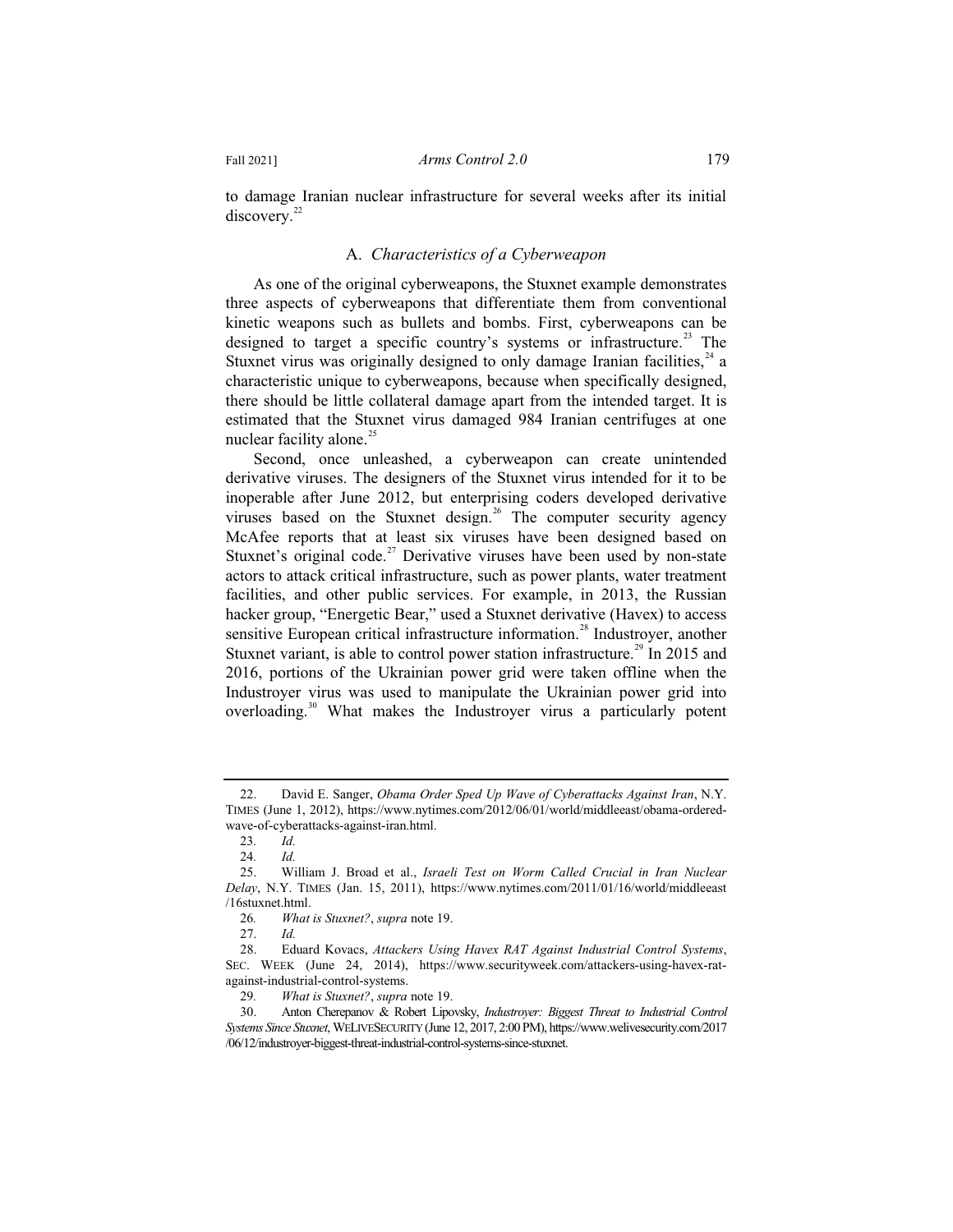to damage Iranian nuclear infrastructure for several weeks after its initial discovery.<sup>22</sup>

#### A. *Characteristics of a Cyberweapon*

As one of the original cyberweapons, the Stuxnet example demonstrates three aspects of cyberweapons that differentiate them from conventional kinetic weapons such as bullets and bombs. First, cyberweapons can be designed to target a specific country's systems or infrastructure.<sup>23</sup> The Stuxnet virus was originally designed to only damage Iranian facilities,  $24$  a characteristic unique to cyberweapons, because when specifically designed, there should be little collateral damage apart from the intended target. It is estimated that the Stuxnet virus damaged 984 Iranian centrifuges at one nuclear facility alone. $^{25}$ 

Second, once unleashed, a cyberweapon can create unintended derivative viruses. The designers of the Stuxnet virus intended for it to be inoperable after June 2012, but enterprising coders developed derivative viruses based on the Stuxnet design.<sup>26</sup> The computer security agency McAfee reports that at least six viruses have been designed based on Stuxnet's original code.<sup>27</sup> Derivative viruses have been used by non-state actors to attack critical infrastructure, such as power plants, water treatment facilities, and other public services. For example, in 2013, the Russian hacker group, "Energetic Bear," used a Stuxnet derivative (Havex) to access sensitive European critical infrastructure information.<sup>28</sup> Industroyer, another Stuxnet variant, is able to control power station infrastructure.<sup>29</sup> In 2015 and 2016, portions of the Ukrainian power grid were taken offline when the Industroyer virus was used to manipulate the Ukrainian power grid into overloading.<sup>30</sup> What makes the Industroyer virus a particularly potent

<sup>22.</sup> David E. Sanger, *Obama Order Sped Up Wave of Cyberattacks Against Iran*, N.Y. TIMES (June 1, 2012), https://www.nytimes.com/2012/06/01/world/middleeast/obama-orderedwave-of-cyberattacks-against-iran.html.

<sup>23</sup>*. Id.*

<sup>24</sup>*. Id.*

<sup>25.</sup> William J. Broad et al., *Israeli Test on Worm Called Crucial in Iran Nuclear Delay*, N.Y. TIMES (Jan. 15, 2011), https://www.nytimes.com/2011/01/16/world/middleeast /16stuxnet.html.

<sup>26</sup>*. What is Stuxnet?*, *supra* note 19.

<sup>27.</sup> *Id.*

<sup>28.</sup> Eduard Kovacs, *Attackers Using Havex RAT Against Industrial Control Systems*, SEC. WEEK (June 24, 2014), https://www.securityweek.com/attackers-using-havex-ratagainst-industrial-control-systems.<br>29. What is Stuxnet?, supra

<sup>29</sup>*. What is Stuxnet?*, *supra* note 19.

<sup>30.</sup> Anton Cherepanov & Robert Lipovsky, *Industroyer: Biggest Threat to Industrial Control Systems Since Stuxnet*, WELIVESECURITY (June 12, 2017, 2:00 PM), https://www.welivesecurity.com/2017 /06/12/industroyer-biggest-threat-industrial-control-systems-since-stuxnet.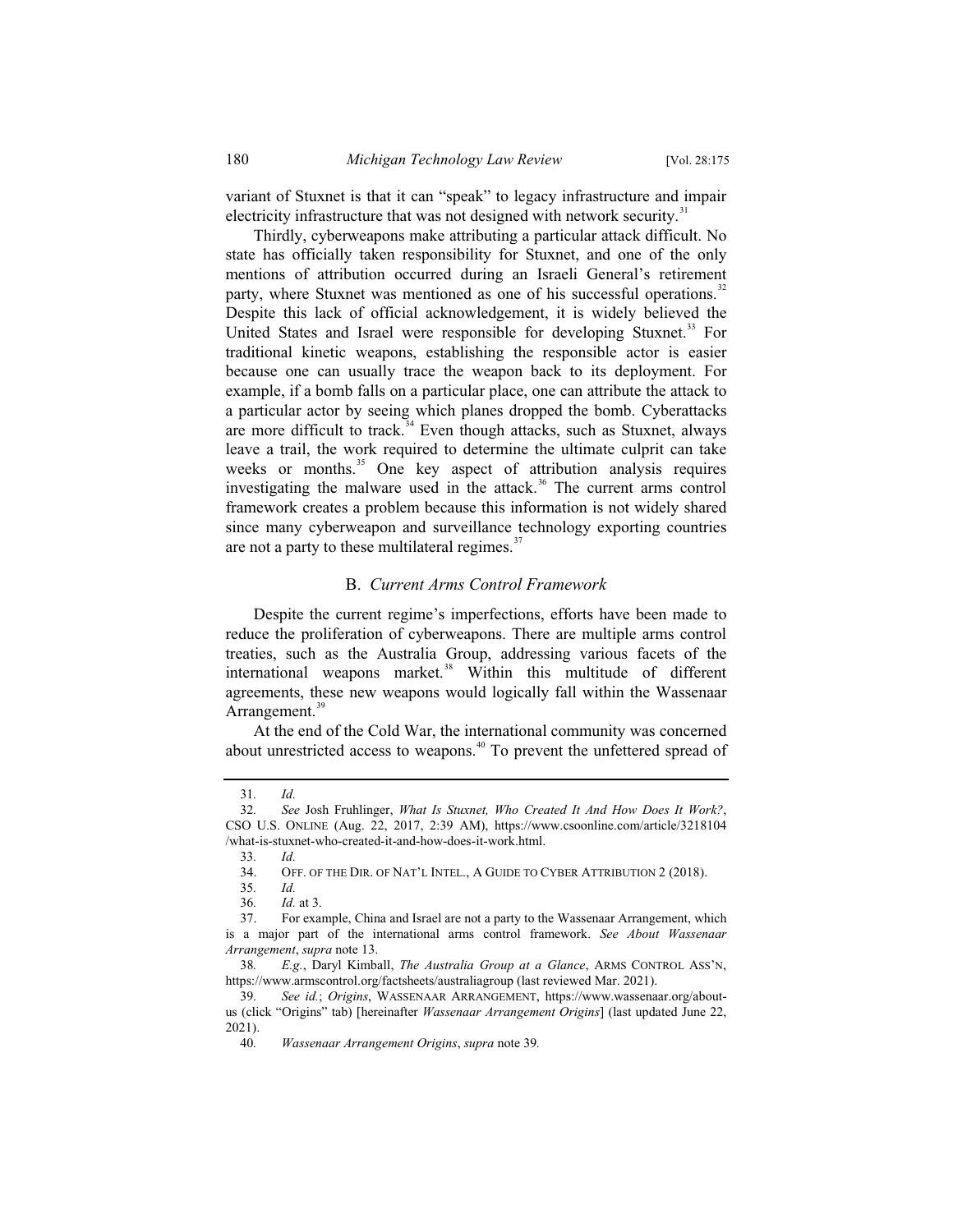variant of Stuxnet is that it can "speak" to legacy infrastructure and impair electricity infrastructure that was not designed with network security.<sup>31</sup>

Thirdly, cyberweapons make attributing a particular attack difficult. No state has officially taken responsibility for Stuxnet, and one of the only mentions of attribution occurred during an Israeli General's retirement party, where Stuxnet was mentioned as one of his successful operations.<sup>32</sup> Despite this lack of official acknowledgement, it is widely believed the United States and Israel were responsible for developing Stuxnet.<sup>33</sup> For traditional kinetic weapons, establishing the responsible actor is easier because one can usually trace the weapon back to its deployment. For example, if a bomb falls on a particular place, one can attribute the attack to a particular actor by seeing which planes dropped the bomb. Cyberattacks are more difficult to track. $34$  Even though attacks, such as Stuxnet, always leave a trail, the work required to determine the ultimate culprit can take weeks or months.<sup>35</sup> One key aspect of attribution analysis requires investigating the malware used in the attack.<sup>36</sup> The current arms control framework creates a problem because this information is not widely shared since many cyberweapon and surveillance technology exporting countries are not a party to these multilateral regimes. $37$ 

#### B. *Current Arms Control Framework*

Despite the current regime's imperfections, efforts have been made to reduce the proliferation of cyberweapons. There are multiple arms control treaties, such as the Australia Group, addressing various facets of the international weapons market.<sup>38</sup> Within this multitude of different agreements, these new weapons would logically fall within the Wassenaar Arrangement.<sup>39</sup>

At the end of the Cold War, the international community was concerned about unrestricted access to weapons.<sup>40</sup> To prevent the unfettered spread of

33*. Id.*

36*. Id.* at 3.

<sup>31</sup>*. Id.*

<sup>32</sup>*. See* Josh Fruhlinger, *What Is Stuxnet, Who Created It And How Does It Work?*, CSO U.S. ONLINE (Aug. 22, 2017, 2:39 AM), https://www.csoonline.com/article/3218104 /what-is-stuxnet-who-created-it-and-how-does-it-work.html.

OFF. OF THE DIR. OF NAT'L INTEL., A GUIDE TO CYBER ATTRIBUTION 2 (2018).

<sup>35</sup>*. Id.*

<sup>37.</sup> For example, China and Israel are not a party to the Wassenaar Arrangement, which is a major part of the international arms control framework. *See About Wassenaar Arrangement*, *supra* note 13.

<sup>38</sup>*. E.g.*, Daryl Kimball, *The Australia Group at a Glance*, ARMS CONTROL ASS'N, https://www.armscontrol.org/factsheets/australiagroup (last reviewed Mar. 2021).

<sup>39</sup>*. See id.*; *Origins*, WASSENAAR ARRANGEMENT, https://www.wassenaar.org/aboutus (click "Origins" tab) [hereinafter *Wassenaar Arrangement Origins*] (last updated June 22, 2021).

<sup>40</sup>*. Wassenaar Arrangement Origins*, *supra* note 39*.*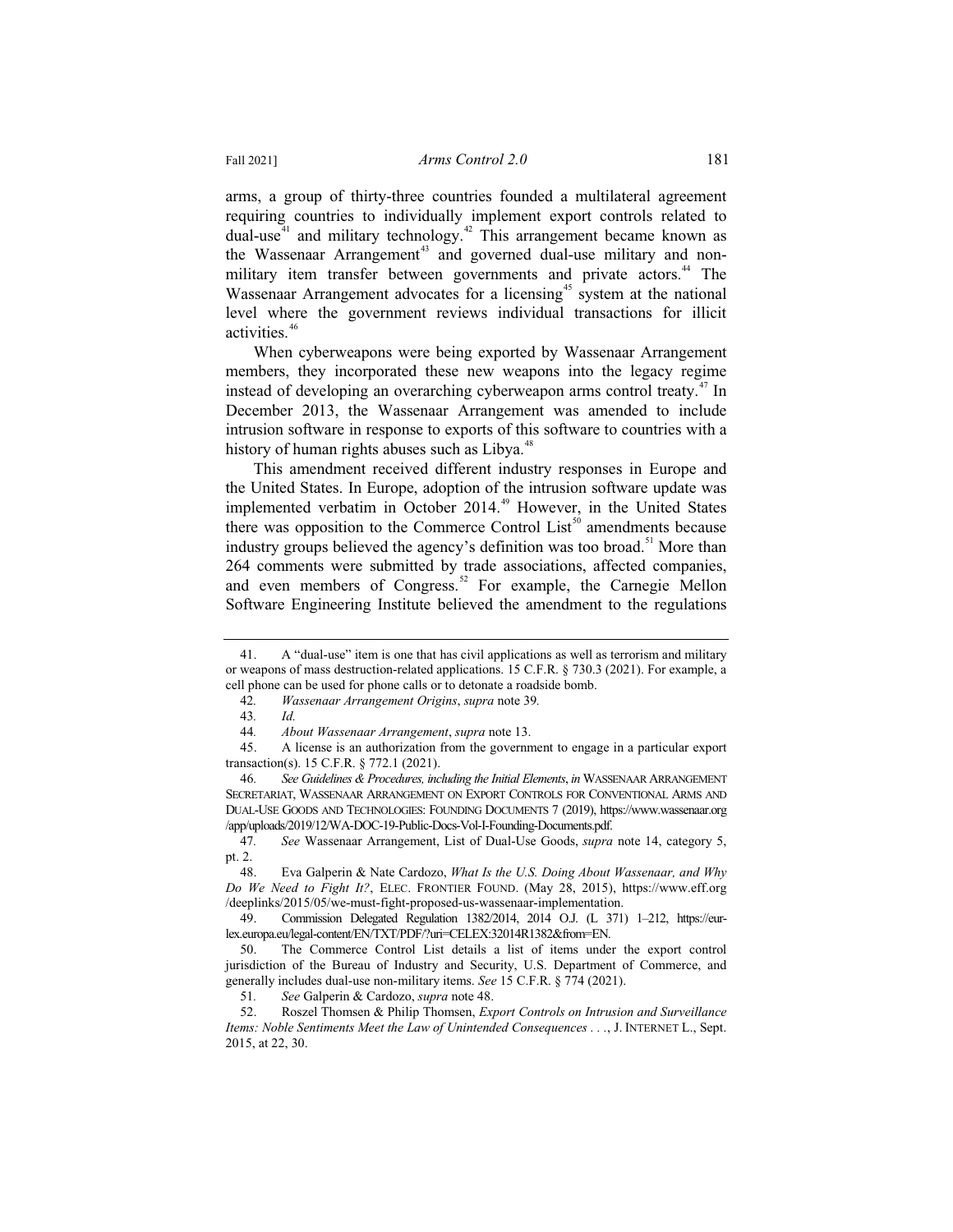arms, a group of thirty-three countries founded a multilateral agreement requiring countries to individually implement export controls related to dual-use $41$  and military technology.<sup>42</sup> This arrangement became known as the Wassenaar Arrangement<sup>43</sup> and governed dual-use military and nonmilitary item transfer between governments and private actors.<sup>44</sup> The Wassenaar Arrangement advocates for a licensing<sup>45</sup> system at the national level where the government reviews individual transactions for illicit activities.<sup>46</sup>

When cyberweapons were being exported by Wassenaar Arrangement members, they incorporated these new weapons into the legacy regime instead of developing an overarching cyberweapon arms control treaty.<sup>47</sup> In December 2013, the Wassenaar Arrangement was amended to include intrusion software in response to exports of this software to countries with a history of human rights abuses such as Libya. $48$ 

This amendment received different industry responses in Europe and the United States. In Europe, adoption of the intrusion software update was implemented verbatim in October 2014.<sup>49</sup> However, in the United States there was opposition to the Commerce Control  $List<sup>50</sup>$  amendments because industry groups believed the agency's definition was too broad.<sup>51</sup> More than 264 comments were submitted by trade associations, affected companies, and even members of Congress.<sup>52</sup> For example, the Carnegie Mellon Software Engineering Institute believed the amendment to the regulations

<sup>41.</sup> A "dual-use" item is one that has civil applications as well as terrorism and military or weapons of mass destruction-related applications. 15 C.F.R. § 730.3 (2021). For example, a cell phone can be used for phone calls or to detonate a roadside bomb.

<sup>42</sup>*. Wassenaar Arrangement Origins*, *supra* note 39*.*

<sup>43</sup>*. Id.*

<sup>44</sup>*. About Wassenaar Arrangement*, *supra* note 13.

<sup>45.</sup> A license is an authorization from the government to engage in a particular export transaction(s). 15 C.F.R. § 772.1 (2021).

<sup>46</sup>*. See Guidelines & Procedures, including the Initial Elements*, *in* WASSENAAR ARRANGEMENT SECRETARIAT, WASSENAAR ARRANGEMENT ON EXPORT CONTROLS FOR CONVENTIONAL ARMS AND DUAL-USE GOODS AND TECHNOLOGIES: FOUNDING DOCUMENTS 7 (2019), https://www.wassenaar.org /app/uploads/2019/12/WA-DOC-19-Public-Docs-Vol-I-Founding-Documents.pdf.

<sup>47</sup>*. See* Wassenaar Arrangement, List of Dual-Use Goods, *supra* note 14, category 5, pt. 2.

<sup>48.</sup> Eva Galperin & Nate Cardozo, *What Is the U.S. Doing About Wassenaar, and Why Do We Need to Fight It?*, ELEC. FRONTIER FOUND. (May 28, 2015), https://www.eff.org /deeplinks/2015/05/we-must-fight-proposed-us-wassenaar-implementation.

<sup>49.</sup> Commission Delegated Regulation 1382/2014, 2014 O.J. (L 371) 1–212, https://eurlex.europa.eu/legal-content/EN/TXT/PDF/?uri=CELEX:32014R1382&from=EN.

<sup>50.</sup> The Commerce Control List details a list of items under the export control jurisdiction of the Bureau of Industry and Security, U.S. Department of Commerce, and generally includes dual-use non-military items. *See* 15 C.F.R. § 774 (2021).

<sup>51</sup>*. See* Galperin & Cardozo, *supra* note 48.

<sup>52.</sup> Roszel Thomsen & Philip Thomsen, *Export Controls on Intrusion and Surveillance Items: Noble Sentiments Meet the Law of Unintended Consequences . . .*, J. INTERNET L., Sept. 2015, at 22, 30.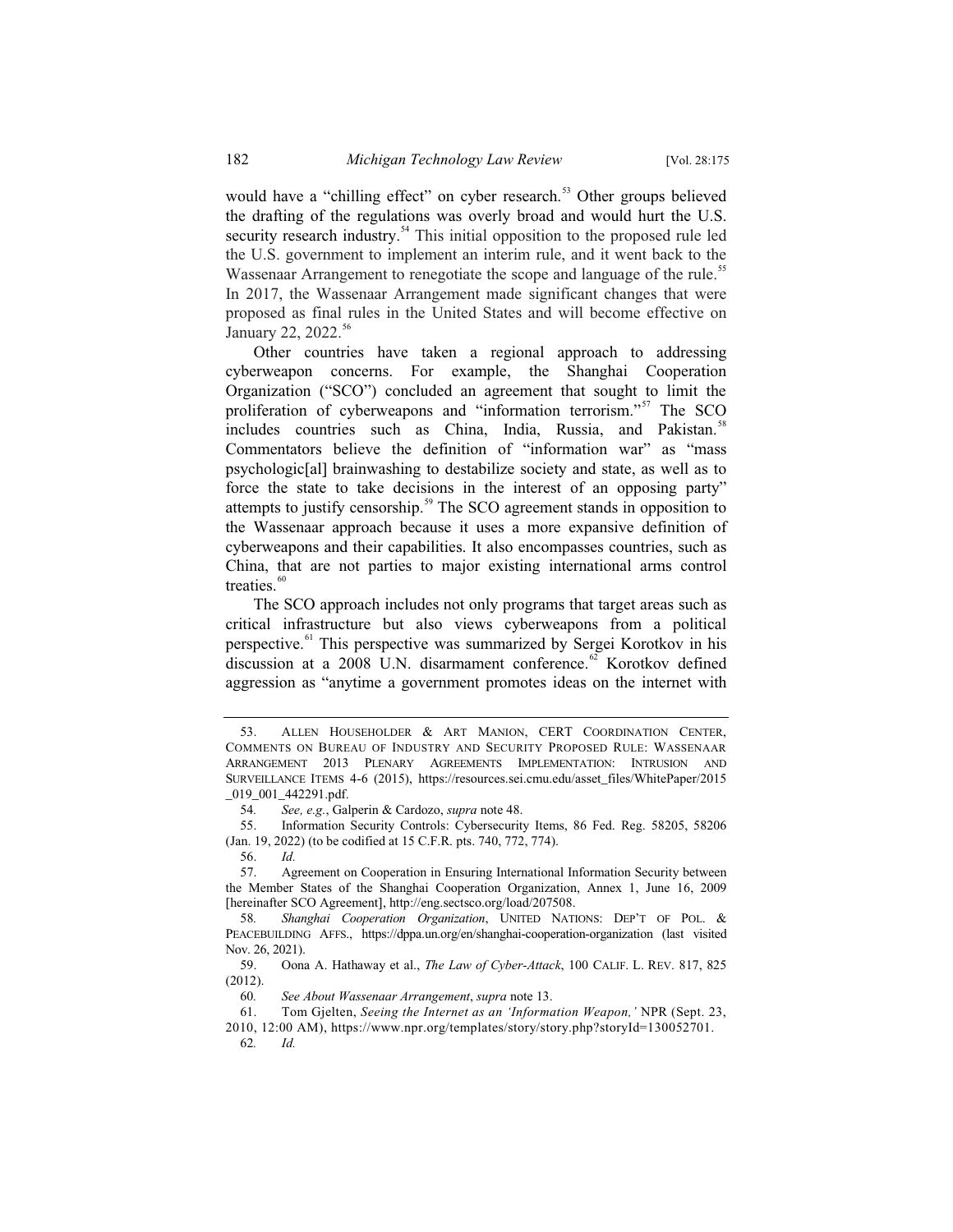would have a "chilling effect" on cyber research.<sup>53</sup> Other groups believed the drafting of the regulations was overly broad and would hurt the U.S. security research industry.<sup>54</sup> This initial opposition to the proposed rule led the U.S. government to implement an interim rule, and it went back to the Wassenaar Arrangement to renegotiate the scope and language of the rule.<sup>55</sup> In 2017, the Wassenaar Arrangement made significant changes that were proposed as final rules in the United States and will become effective on January 22, 2022.<sup>56</sup>

Other countries have taken a regional approach to addressing cyberweapon concerns. For example, the Shanghai Cooperation Organization ("SCO") concluded an agreement that sought to limit the proliferation of cyberweapons and "information terrorism."<sup>57</sup> The SCO includes countries such as China, India, Russia, and Pakistan.<sup>58</sup> Commentators believe the definition of "information war" as "mass psychologic[al] brainwashing to destabilize society and state, as well as to force the state to take decisions in the interest of an opposing party" attempts to justify censorship.<sup>59</sup> The SCO agreement stands in opposition to the Wassenaar approach because it uses a more expansive definition of cyberweapons and their capabilities. It also encompasses countries, such as China, that are not parties to major existing international arms control treaties.<sup>60</sup>

The SCO approach includes not only programs that target areas such as critical infrastructure but also views cyberweapons from a political perspective.<sup>61</sup> This perspective was summarized by Sergei Korotkov in his discussion at a 2008 U.N. disarmament conference. $62$  Korotkov defined aggression as "anytime a government promotes ideas on the internet with

56. *Id.*

<sup>53.</sup> ALLEN HOUSEHOLDER & ART MANION, CERT COORDINATION CENTER, COMMENTS ON BUREAU OF INDUSTRY AND SECURITY PROPOSED RULE: WASSENAAR ARRANGEMENT 2013 PLENARY AGREEMENTS IMPLEMENTATION: INTRUSION AND SURVEILLANCE ITEMS 4-6 (2015), https://resources.sei.cmu.edu/asset\_files/WhitePaper/2015 \_019\_001\_442291.pdf.

<sup>54</sup>*. See, e.g.*, Galperin & Cardozo, *supra* note 48.

<sup>55.</sup> Information Security Controls: Cybersecurity Items, 86 Fed. Reg. 58205, 58206 (Jan. 19, 2022) (to be codified at 15 C.F.R. pts. 740, 772, 774).

<sup>57.</sup> Agreement on Cooperation in Ensuring International Information Security between the Member States of the Shanghai Cooperation Organization, Annex 1, June 16, 2009 [hereinafter SCO Agreement], http://eng.sectsco.org/load/207508.

<sup>58</sup>*. Shanghai Cooperation Organization*, UNITED NATIONS: DEP'T OF POL. & PEACEBUILDING AFFS., https://dppa.un.org/en/shanghai-cooperation-organization (last visited Nov. 26, 2021).

<sup>59.</sup> Oona A. Hathaway et al., *The Law of Cyber-Attack*, 100 CALIF. L. REV. 817, 825 (2012).

<sup>60</sup>*. See About Wassenaar Arrangement*, *supra* note 13.

<sup>61.</sup> Tom Gjelten, *Seeing the Internet as an 'Information Weapon,'* NPR (Sept. 23, 2010, 12:00 AM), https://www.npr.org/templates/story/story.php?storyId=130052701.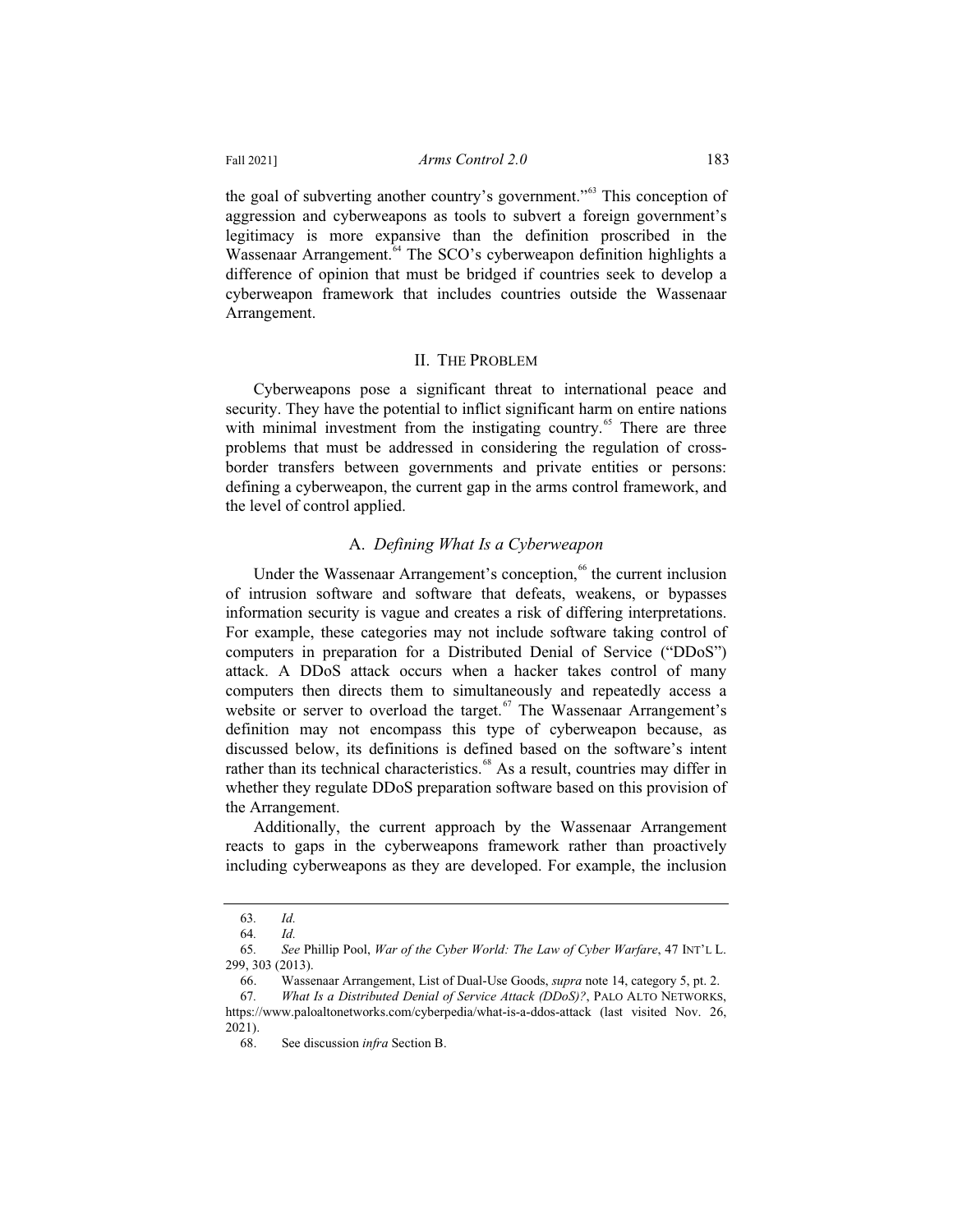the goal of subverting another country's government."<sup>63</sup> This conception of aggression and cyberweapons as tools to subvert a foreign government's legitimacy is more expansive than the definition proscribed in the Wassenaar Arrangement.<sup>64</sup> The SCO's cyberweapon definition highlights a difference of opinion that must be bridged if countries seek to develop a cyberweapon framework that includes countries outside the Wassenaar Arrangement.

#### II. THE PROBLEM

Cyberweapons pose a significant threat to international peace and security. They have the potential to inflict significant harm on entire nations with minimal investment from the instigating country.<sup>65</sup> There are three problems that must be addressed in considering the regulation of crossborder transfers between governments and private entities or persons: defining a cyberweapon, the current gap in the arms control framework, and the level of control applied.

## A. *Defining What Is a Cyberweapon*

Under the Wassenaar Arrangement's conception,<sup>66</sup> the current inclusion of intrusion software and software that defeats, weakens, or bypasses information security is vague and creates a risk of differing interpretations. For example, these categories may not include software taking control of computers in preparation for a Distributed Denial of Service ("DDoS") attack. A DDoS attack occurs when a hacker takes control of many computers then directs them to simultaneously and repeatedly access a website or server to overload the target.<sup>67</sup> The Wassenaar Arrangement's definition may not encompass this type of cyberweapon because, as discussed below, its definitions is defined based on the software's intent rather than its technical characteristics.<sup>68</sup> As a result, countries may differ in whether they regulate DDoS preparation software based on this provision of the Arrangement.

Additionally, the current approach by the Wassenaar Arrangement reacts to gaps in the cyberweapons framework rather than proactively including cyberweapons as they are developed. For example, the inclusion

<sup>63</sup>*. Id.*

<sup>64</sup>*. Id.*

<sup>65</sup>*. See* Phillip Pool, *War of the Cyber World: The Law of Cyber Warfare*, 47 INT'L L. 299, 303 (2013).

<sup>66.</sup> Wassenaar Arrangement, List of Dual-Use Goods, *supra* note 14, category 5, pt. 2.

<sup>67</sup>*. What Is a Distributed Denial of Service Attack (DDoS)?*, PALO ALTO NETWORKS, https://www.paloaltonetworks.com/cyberpedia/what-is-a-ddos-attack (last visited Nov. 26, 2021).

<sup>68.</sup> See discussion *infra* Section B.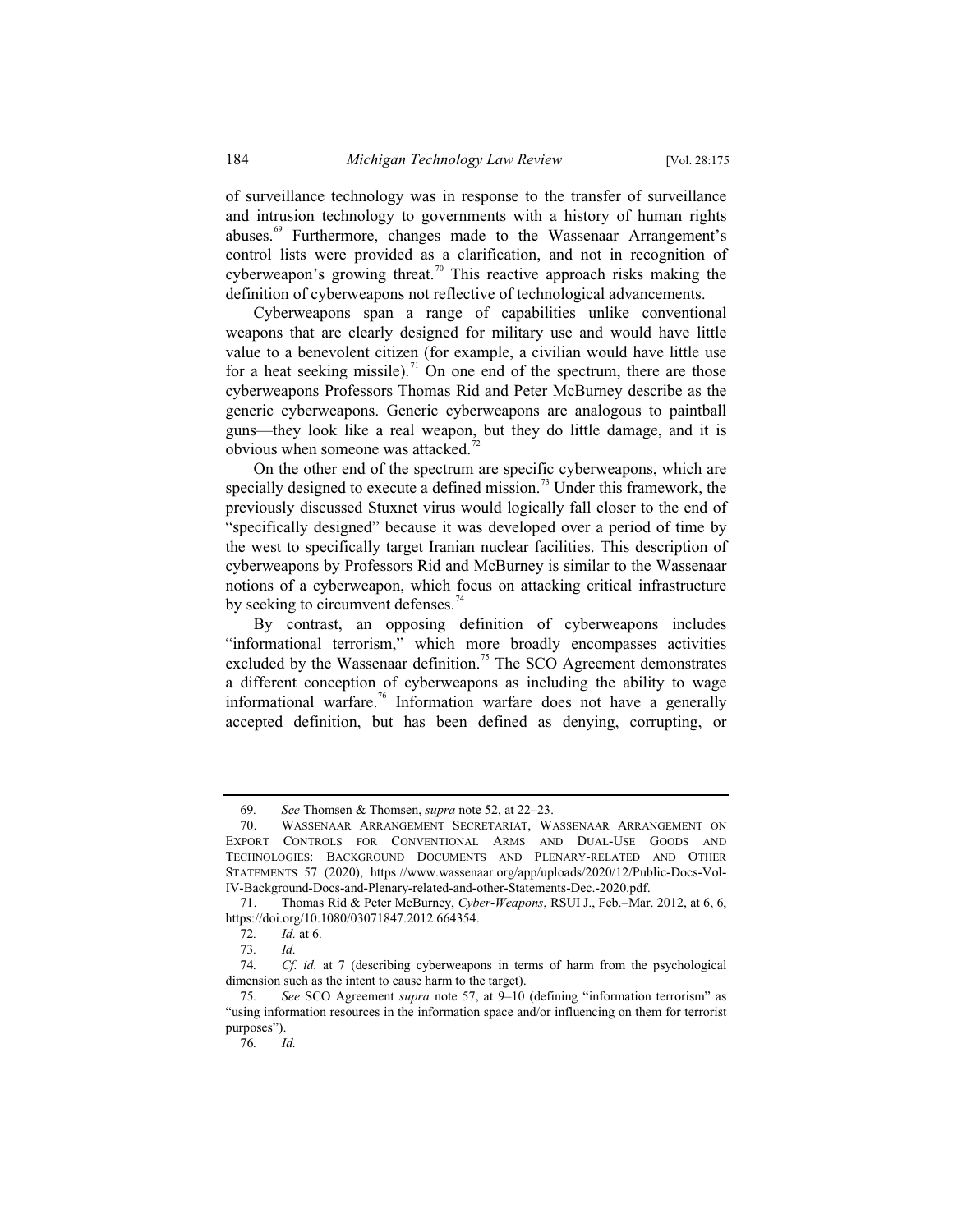of surveillance technology was in response to the transfer of surveillance and intrusion technology to governments with a history of human rights abuses.<sup>69</sup> Furthermore, changes made to the Wassenaar Arrangement's control lists were provided as a clarification, and not in recognition of cyberweapon's growing threat.<sup>70</sup> This reactive approach risks making the definition of cyberweapons not reflective of technological advancements.

Cyberweapons span a range of capabilities unlike conventional weapons that are clearly designed for military use and would have little value to a benevolent citizen (for example, a civilian would have little use for a heat seeking missile).<sup>71</sup> On one end of the spectrum, there are those cyberweapons Professors Thomas Rid and Peter McBurney describe as the generic cyberweapons. Generic cyberweapons are analogous to paintball guns—they look like a real weapon, but they do little damage, and it is obvious when someone was attacked. $72$ 

On the other end of the spectrum are specific cyberweapons, which are specially designed to execute a defined mission.<sup>73</sup> Under this framework, the previously discussed Stuxnet virus would logically fall closer to the end of "specifically designed" because it was developed over a period of time by the west to specifically target Iranian nuclear facilities. This description of cyberweapons by Professors Rid and McBurney is similar to the Wassenaar notions of a cyberweapon, which focus on attacking critical infrastructure by seeking to circumvent defenses. $<sup>74</sup>$ </sup>

By contrast, an opposing definition of cyberweapons includes "informational terrorism," which more broadly encompasses activities excluded by the Wassenaar definition.<sup>75</sup> The SCO Agreement demonstrates a different conception of cyberweapons as including the ability to wage informational warfare.<sup>76</sup> Information warfare does not have a generally accepted definition, but has been defined as denying, corrupting, or

<sup>69</sup>*. See* Thomsen & Thomsen, *supra* note 52, at 22–23.

<sup>70.</sup> WASSENAAR ARRANGEMENT SECRETARIAT, WASSENAAR ARRANGEMENT ON EXPORT CONTROLS FOR CONVENTIONAL ARMS AND DUAL-USE GOODS AND TECHNOLOGIES: BACKGROUND DOCUMENTS AND PLENARY-RELATED AND OTHER STATEMENTS 57 (2020), https://www.wassenaar.org/app/uploads/2020/12/Public-Docs-Vol-IV-Background-Docs-and-Plenary-related-and-other-Statements-Dec.-2020.pdf.

<sup>71.</sup> Thomas Rid & Peter McBurney, *Cyber-Weapons*, RSUI J., Feb.–Mar. 2012, at 6, 6, https://doi.org/10.1080/03071847.2012.664354.

<sup>72</sup>*. Id.* at 6.

<sup>73</sup>*. Id.*

<sup>74</sup>*. Cf. id.* at 7 (describing cyberweapons in terms of harm from the psychological dimension such as the intent to cause harm to the target).

<sup>75</sup>*. See* SCO Agreement *supra* note 57, at 9–10 (defining "information terrorism" as "using information resources in the information space and/or influencing on them for terrorist purposes").

<sup>76</sup>*. Id.*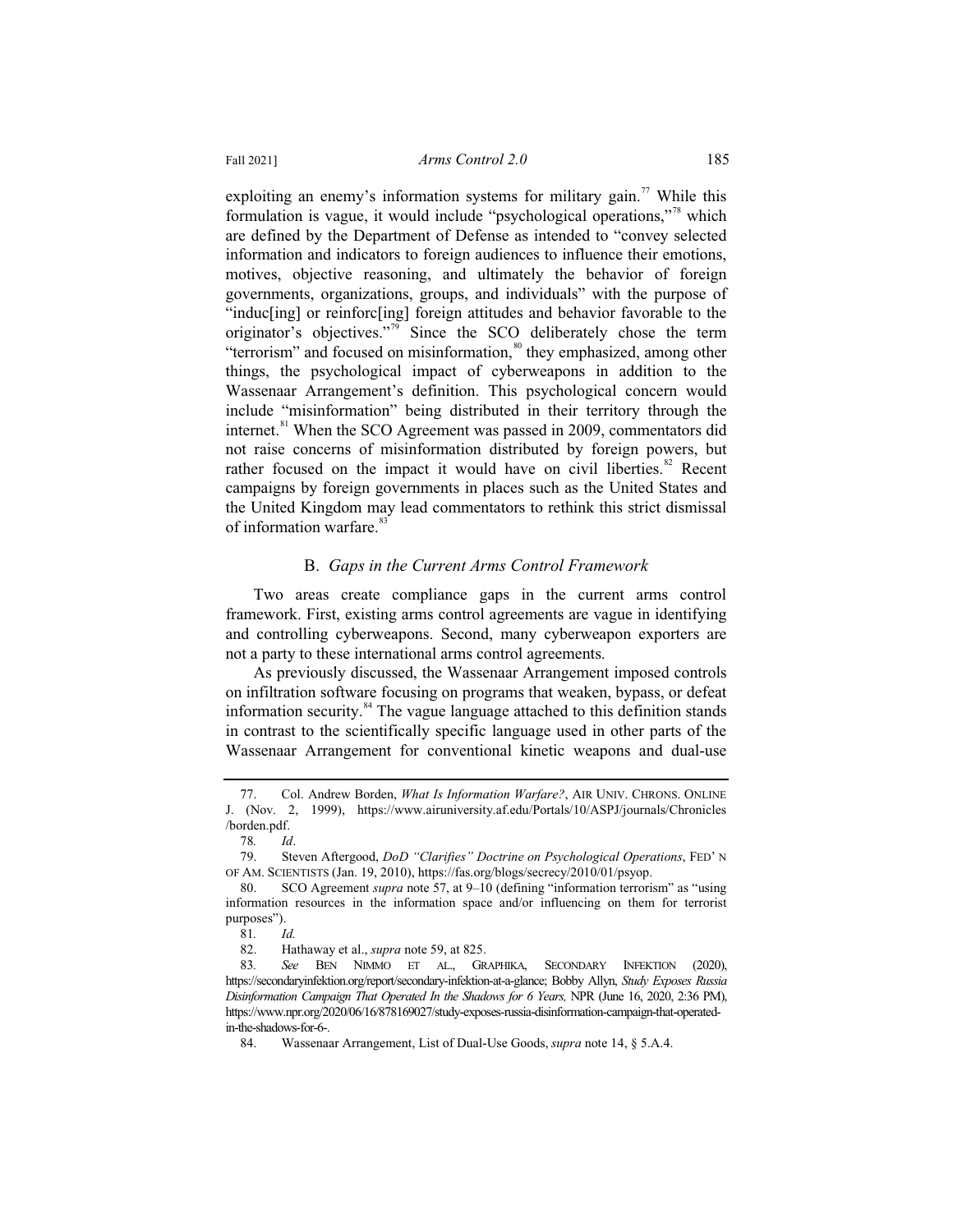exploiting an enemy's information systems for military gain.<sup>77</sup> While this formulation is vague, it would include "psychological operations,"<sup>78</sup> which are defined by the Department of Defense as intended to "convey selected information and indicators to foreign audiences to influence their emotions, motives, objective reasoning, and ultimately the behavior of foreign governments, organizations, groups, and individuals" with the purpose of "induc[ing] or reinforc[ing] foreign attitudes and behavior favorable to the originator's objectives."<sup>79</sup> Since the SCO deliberately chose the term "terrorism" and focused on misinformation,<sup>80</sup> they emphasized, among other things, the psychological impact of cyberweapons in addition to the Wassenaar Arrangement's definition. This psychological concern would include "misinformation" being distributed in their territory through the internet.<sup>81</sup> When the SCO Agreement was passed in 2009, commentators did not raise concerns of misinformation distributed by foreign powers, but rather focused on the impact it would have on civil liberties. $82$  Recent campaigns by foreign governments in places such as the United States and the United Kingdom may lead commentators to rethink this strict dismissal of information warfare.<sup>8</sup>

## B. *Gaps in the Current Arms Control Framework*

Two areas create compliance gaps in the current arms control framework. First, existing arms control agreements are vague in identifying and controlling cyberweapons. Second, many cyberweapon exporters are not a party to these international arms control agreements.

As previously discussed, the Wassenaar Arrangement imposed controls on infiltration software focusing on programs that weaken, bypass, or defeat information security. $84$  The vague language attached to this definition stands in contrast to the scientifically specific language used in other parts of the Wassenaar Arrangement for conventional kinetic weapons and dual-use

<sup>77.</sup> Col. Andrew Borden, *What Is Information Warfare?*, AIR UNIV. CHRONS. ONLINE J. (Nov. 2, 1999), https://www.airuniversity.af.edu/Portals/10/ASPJ/journals/Chronicles /borden.pdf.

<sup>78</sup>*. Id*.

<sup>79.</sup> Steven Aftergood, *DoD "Clarifies" Doctrine on Psychological Operations*, FED' N OF AM. SCIENTISTS (Jan. 19, 2010), https://fas.org/blogs/secrecy/2010/01/psyop.

<sup>80.</sup> SCO Agreement *supra* note 57, at 9–10 (defining "information terrorism" as "using information resources in the information space and/or influencing on them for terrorist purposes").

<sup>81</sup>*. Id.*

<sup>82.</sup> Hathaway et al., *supra* note 59, at 825.

<sup>83</sup>*. See* BEN NIMMO ET AL., GRAPHIKA, SECONDARY INFEKTION (2020), https://secondaryinfektion.org/report/secondary-infektion-at-a-glance; Bobby Allyn, *Study Exposes Russia Disinformation Campaign That Operated In the Shadows for 6 Years,* NPR (June 16, 2020, 2:36 PM), https://www.npr.org/2020/06/16/878169027/study-exposes-russia-disinformation-campaign-that-operatedin-the-shadows-for-6-.

<sup>84.</sup> Wassenaar Arrangement, List of Dual-Use Goods, *supra* note 14, § 5.A.4.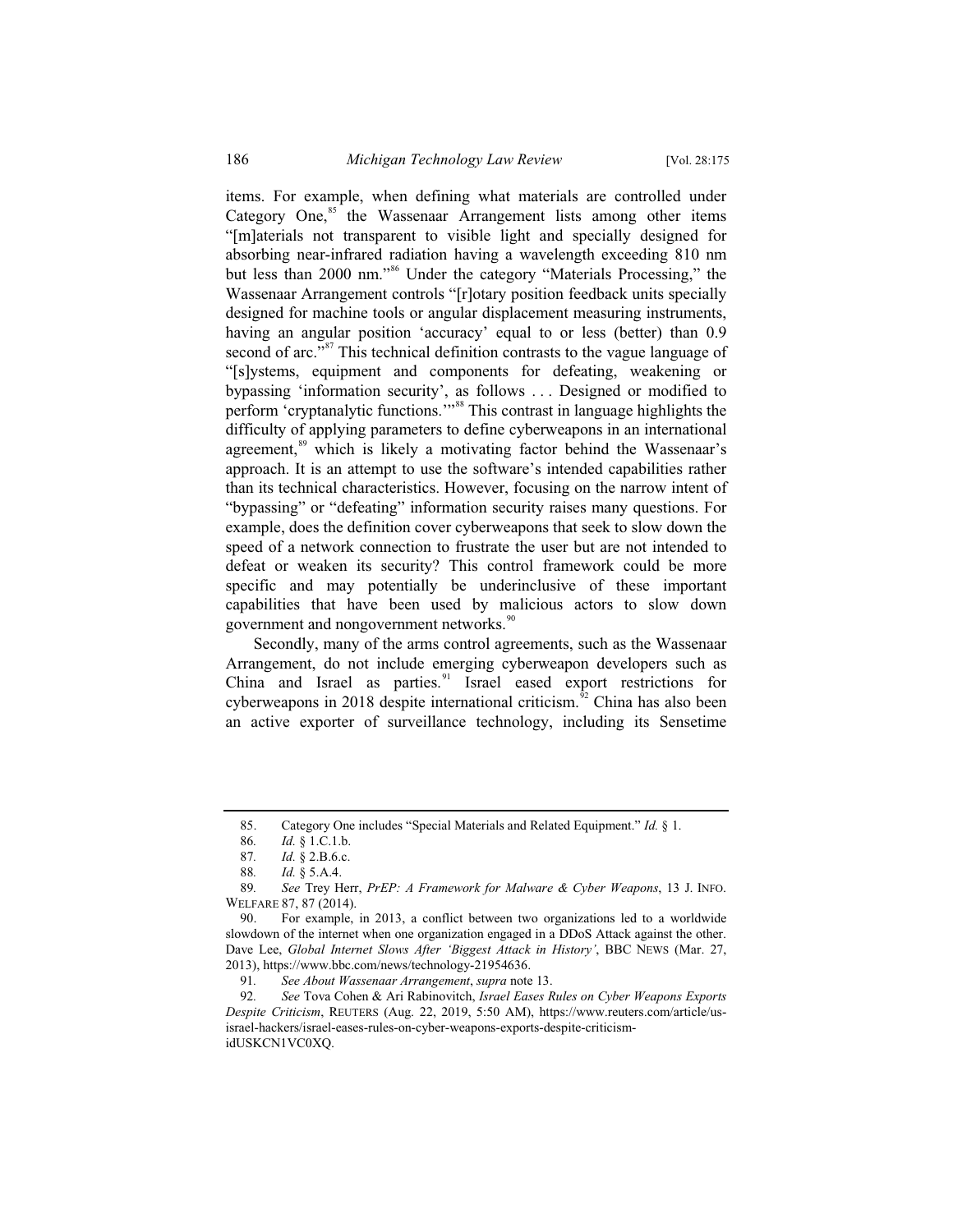items. For example, when defining what materials are controlled under Category One, ${}^{85}$  the Wassenaar Arrangement lists among other items "[m]aterials not transparent to visible light and specially designed for absorbing near-infrared radiation having a wavelength exceeding 810 nm but less than 2000 nm."<sup>86</sup> Under the category "Materials Processing," the Wassenaar Arrangement controls "[r]otary position feedback units specially designed for machine tools or angular displacement measuring instruments, having an angular position 'accuracy' equal to or less (better) than 0.9 second of arc."<sup>87</sup> This technical definition contrasts to the vague language of "[s]ystems, equipment and components for defeating, weakening or bypassing 'information security', as follows . . . Designed or modified to perform 'cryptanalytic functions.'"<sup>88</sup> This contrast in language highlights the difficulty of applying parameters to define cyberweapons in an international agreement,<sup>89</sup> which is likely a motivating factor behind the Wassenaar's approach. It is an attempt to use the software's intended capabilities rather than its technical characteristics. However, focusing on the narrow intent of "bypassing" or "defeating" information security raises many questions. For example, does the definition cover cyberweapons that seek to slow down the speed of a network connection to frustrate the user but are not intended to defeat or weaken its security? This control framework could be more specific and may potentially be underinclusive of these important capabilities that have been used by malicious actors to slow down government and nongovernment networks.<sup>90</sup>

Secondly, many of the arms control agreements, such as the Wassenaar Arrangement, do not include emerging cyberweapon developers such as China and Israel as parties.<sup>91</sup> Israel eased export restrictions for cyberweapons in  $2018$  despite international criticism.<sup>92</sup> China has also been an active exporter of surveillance technology, including its Sensetime

<sup>85.</sup> Category One includes "Special Materials and Related Equipment." *Id.* § 1.

<sup>86</sup>*. Id.* § 1.C.1.b.

<sup>87</sup>*. Id.* § 2.B.6.c.

<sup>88</sup>*. Id.* § 5.A.4.

<sup>89</sup>*. See* Trey Herr, *PrEP: A Framework for Malware & Cyber Weapons*, 13 J. INFO. WELFARE 87, 87 (2014).

<sup>90.</sup> For example, in 2013, a conflict between two organizations led to a worldwide slowdown of the internet when one organization engaged in a DDoS Attack against the other. Dave Lee, *Global Internet Slows After 'Biggest Attack in History'*, BBC NEWS (Mar. 27, 2013), https://www.bbc.com/news/technology-21954636.

<sup>91</sup>*. See About Wassenaar Arrangement*, *supra* note 13.

<sup>92</sup>*. See* Tova Cohen & Ari Rabinovitch, *Israel Eases Rules on Cyber Weapons Exports Despite Criticism*, REUTERS (Aug. 22, 2019, 5:50 AM), https://www.reuters.com/article/usisrael-hackers/israel-eases-rules-on-cyber-weapons-exports-despite-criticismidUSKCN1VC0XQ.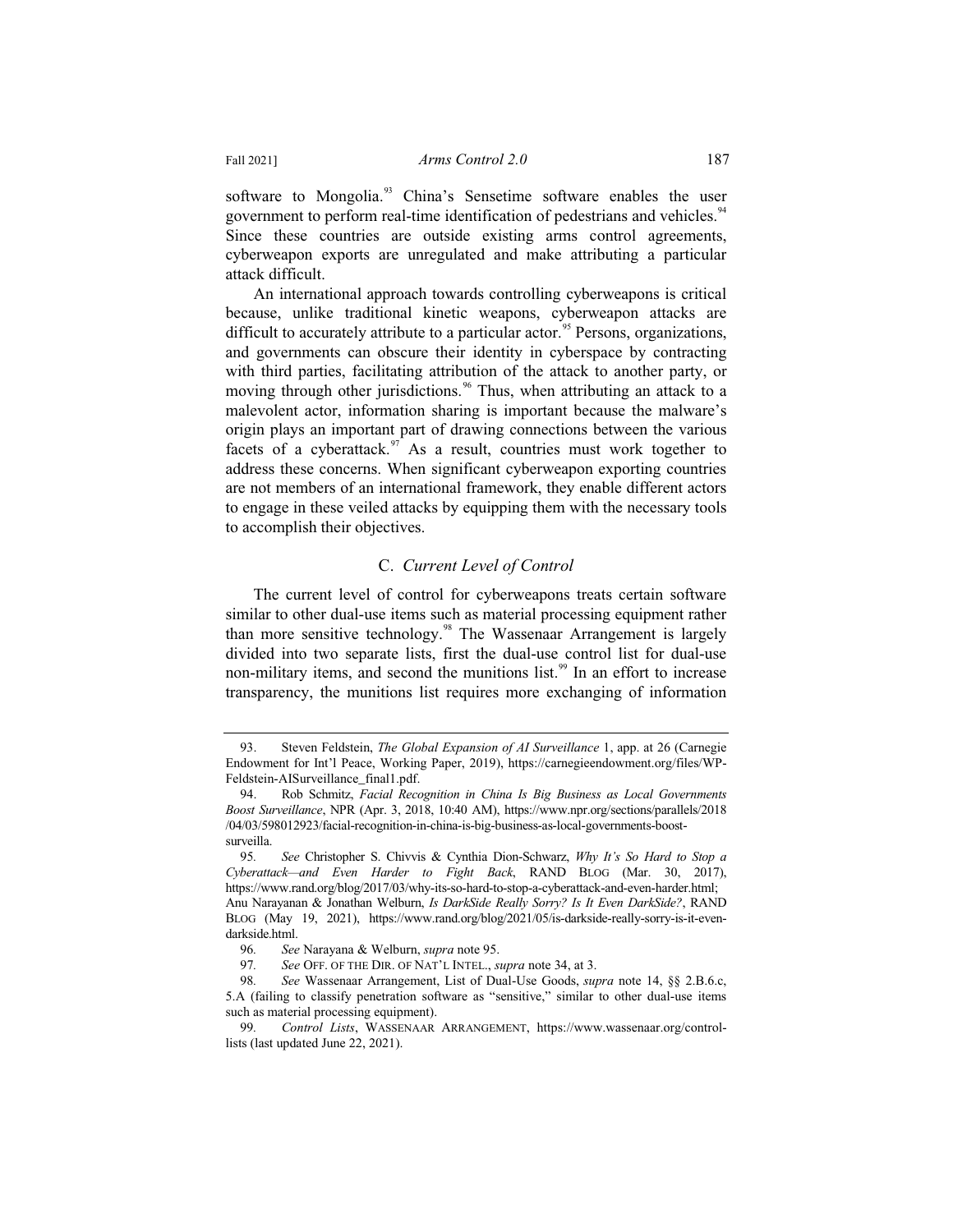software to Mongolia.<sup>93</sup> China's Sensetime software enables the user government to perform real-time identification of pedestrians and vehicles.<sup>94</sup> Since these countries are outside existing arms control agreements, cyberweapon exports are unregulated and make attributing a particular attack difficult.

An international approach towards controlling cyberweapons is critical because, unlike traditional kinetic weapons, cyberweapon attacks are difficult to accurately attribute to a particular actor.<sup>95</sup> Persons, organizations, and governments can obscure their identity in cyberspace by contracting with third parties, facilitating attribution of the attack to another party, or moving through other jurisdictions.<sup>96</sup> Thus, when attributing an attack to a malevolent actor, information sharing is important because the malware's origin plays an important part of drawing connections between the various facets of a cyberattack. $\frac{97}{10}$  As a result, countries must work together to address these concerns. When significant cyberweapon exporting countries are not members of an international framework, they enable different actors to engage in these veiled attacks by equipping them with the necessary tools to accomplish their objectives.

# C. *Current Level of Control*

The current level of control for cyberweapons treats certain software similar to other dual-use items such as material processing equipment rather than more sensitive technology.<sup>98</sup> The Wassenaar Arrangement is largely divided into two separate lists, first the dual-use control list for dual-use non-military items, and second the munitions list.<sup>99</sup> In an effort to increase transparency, the munitions list requires more exchanging of information

<sup>93.</sup> Steven Feldstein, *The Global Expansion of AI Surveillance* 1, app. at 26 (Carnegie Endowment for Int'l Peace, Working Paper, 2019), https://carnegieendowment.org/files/WP-Feldstein-AISurveillance\_final1.pdf.

<sup>94.</sup> Rob Schmitz, *Facial Recognition in China Is Big Business as Local Governments Boost Surveillance*, NPR (Apr. 3, 2018, 10:40 AM), https://www.npr.org/sections/parallels/2018 /04/03/598012923/facial-recognition-in-china-is-big-business-as-local-governments-boostsurveilla.

<sup>95</sup>*. See* Christopher S. Chivvis & Cynthia Dion-Schwarz, *Why It's So Hard to Stop a Cyberattack—and Even Harder to Fight Back*, RAND BLOG (Mar. 30, 2017), https://www.rand.org/blog/2017/03/why-its-so-hard-to-stop-a-cyberattack-and-even-harder.html; Anu Narayanan & Jonathan Welburn, *Is DarkSide Really Sorry? Is It Even DarkSide?*, RAND BLOG (May 19, 2021), https://www.rand.org/blog/2021/05/is-darkside-really-sorry-is-it-evendarkside.html.

<sup>96</sup>*. See* Narayana & Welburn, *supra* note 95.

<sup>97</sup>*. See* OFF. OF THE DIR. OF NAT'L INTEL., *supra* note 34, at 3.

<sup>98</sup>*. See* Wassenaar Arrangement, List of Dual-Use Goods, *supra* note 14, §§ 2.B.6.c, 5.A (failing to classify penetration software as "sensitive," similar to other dual-use items such as material processing equipment).

<sup>99</sup>*. Control Lists*, WASSENAAR ARRANGEMENT, https://www.wassenaar.org/controllists (last updated June 22, 2021).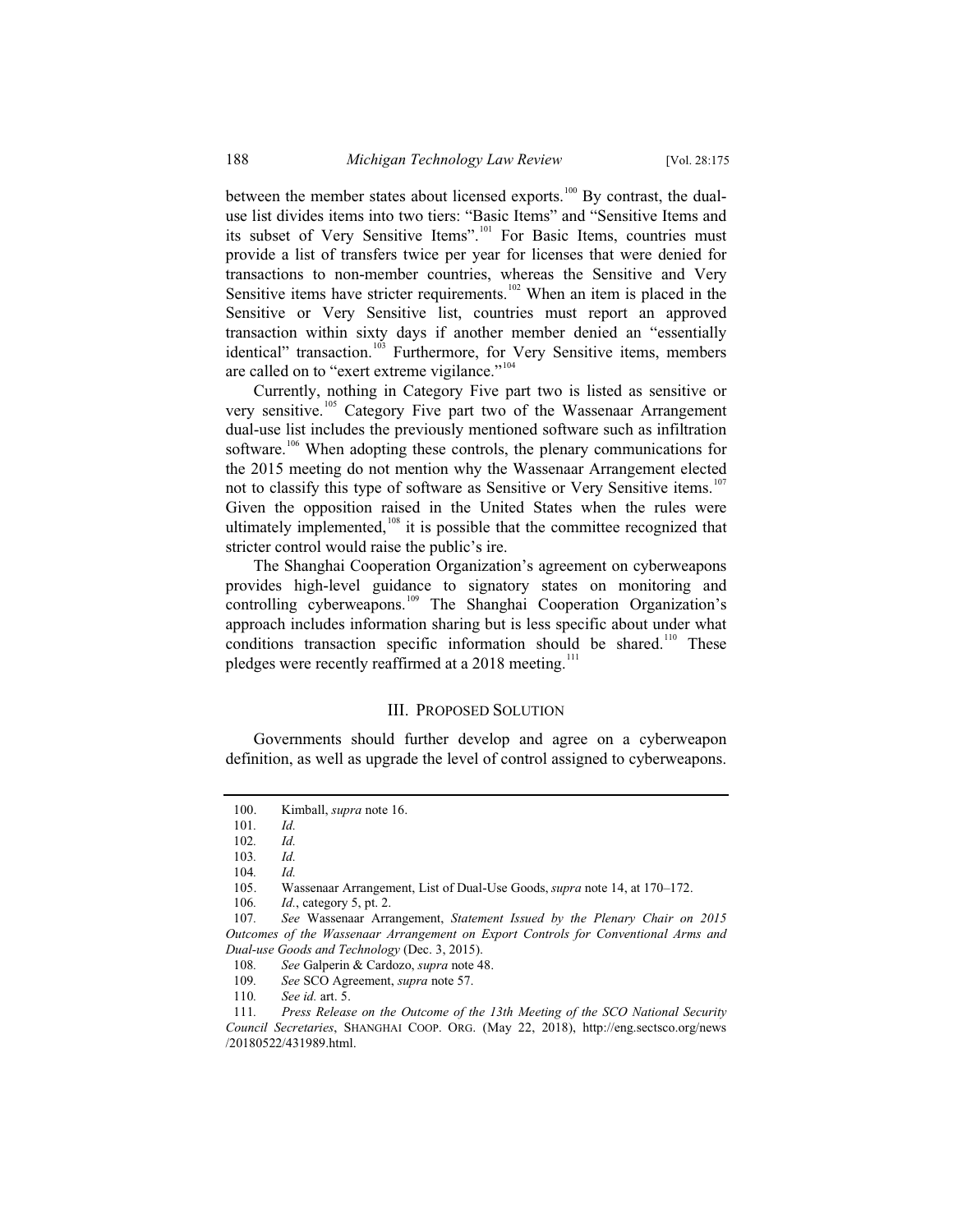between the member states about licensed exports.<sup>100</sup> By contrast, the dualuse list divides items into two tiers: "Basic Items" and "Sensitive Items and its subset of Very Sensitive Items".<sup>101</sup> For Basic Items, countries must provide a list of transfers twice per year for licenses that were denied for transactions to non-member countries, whereas the Sensitive and Very Sensitive items have stricter requirements.<sup>102</sup> When an item is placed in the Sensitive or Very Sensitive list, countries must report an approved transaction within sixty days if another member denied an "essentially identical" transaction.<sup>103</sup> Furthermore, for Very Sensitive items, members are called on to "exert extreme vigilance."<sup>104</sup>

Currently, nothing in Category Five part two is listed as sensitive or very sensitive.<sup>105</sup> Category Five part two of the Wassenaar Arrangement dual-use list includes the previously mentioned software such as infiltration software.<sup>106</sup> When adopting these controls, the plenary communications for the 2015 meeting do not mention why the Wassenaar Arrangement elected not to classify this type of software as Sensitive or Very Sensitive items.<sup>107</sup> Given the opposition raised in the United States when the rules were ultimately implemented, $108$  it is possible that the committee recognized that stricter control would raise the public's ire.

The Shanghai Cooperation Organization's agreement on cyberweapons provides high-level guidance to signatory states on monitoring and controlling cyberweapons.<sup>109</sup> The Shanghai Cooperation Organization's approach includes information sharing but is less specific about under what conditions transaction specific information should be shared.<sup>110</sup> These pledges were recently reaffirmed at a  $2018$  meeting.<sup>111</sup>

#### III. PROPOSED SOLUTION

Governments should further develop and agree on a cyberweapon definition, as well as upgrade the level of control assigned to cyberweapons.

<sup>100.</sup> Kimball, *supra* note 16.

<sup>101</sup>*. Id.*

<sup>102</sup>*. Id.*

<sup>103</sup>*. Id.*

<sup>104</sup>*. Id.*

<sup>105.</sup> Wassenaar Arrangement, List of Dual-Use Goods, *supra* note 14, at 170–172.

<sup>106</sup>*. Id.*, category 5, pt. 2.

<sup>107</sup>*. See* Wassenaar Arrangement, *Statement Issued by the Plenary Chair on 2015 Outcomes of the Wassenaar Arrangement on Export Controls for Conventional Arms and Dual-use Goods and Technology* (Dec. 3, 2015).

<sup>108</sup>*. See* Galperin & Cardozo, *supra* note 48.

<sup>109</sup>*. See* SCO Agreement, *supra* note 57.

<sup>110</sup>*. See id.* art. 5.

<sup>111</sup>*. Press Release on the Outcome of the 13th Meeting of the SCO National Security Council Secretaries*, SHANGHAI COOP. ORG. (May 22, 2018), http://eng.sectsco.org/news /20180522/431989.html.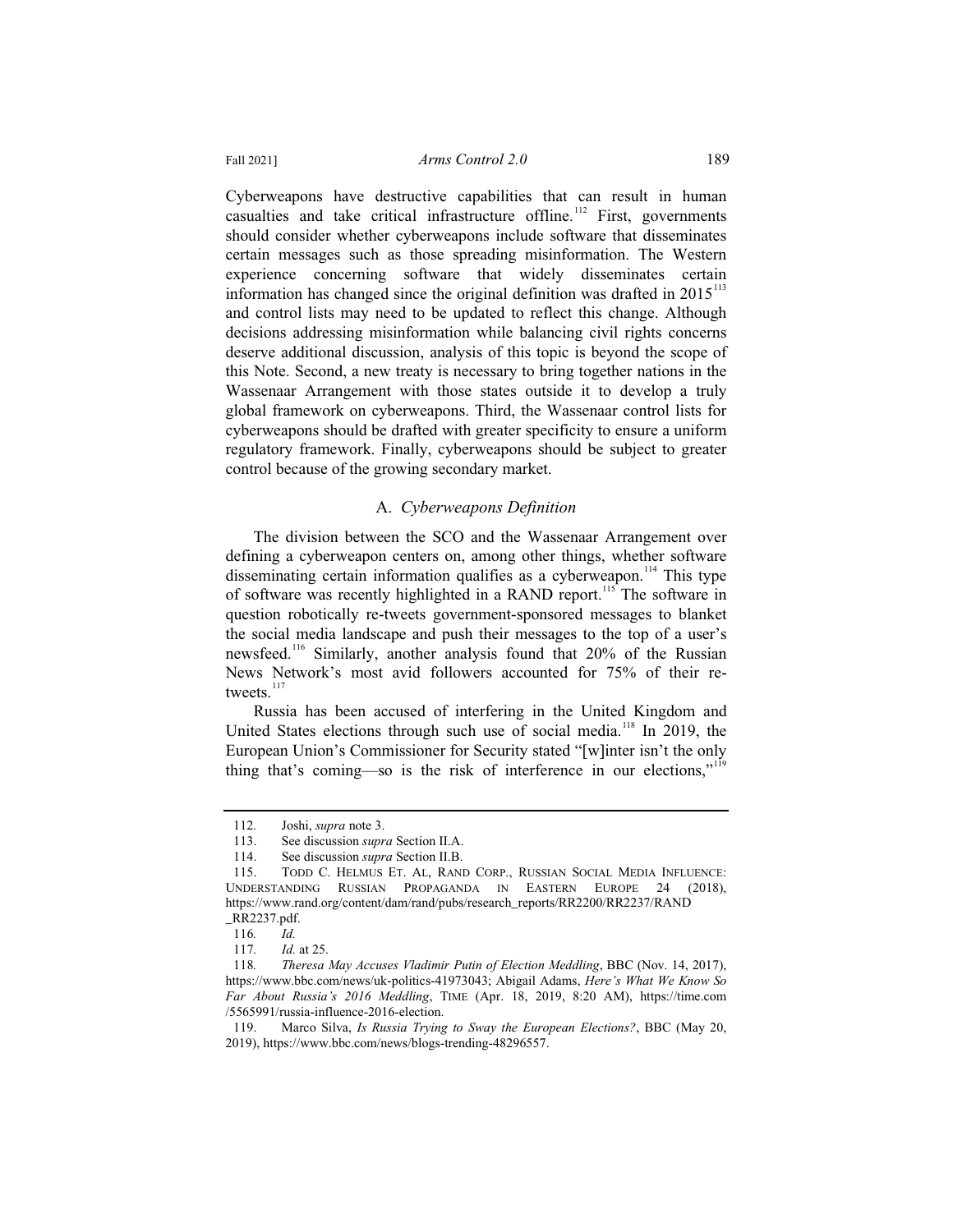#### Fall 2021] *Arms Control 2.0* 189

Cyberweapons have destructive capabilities that can result in human casualties and take critical infrastructure offline.<sup>112</sup> First, governments should consider whether cyberweapons include software that disseminates certain messages such as those spreading misinformation. The Western experience concerning software that widely disseminates certain information has changed since the original definition was drafted in  $2015<sup>113</sup>$ and control lists may need to be updated to reflect this change. Although decisions addressing misinformation while balancing civil rights concerns deserve additional discussion, analysis of this topic is beyond the scope of this Note. Second, a new treaty is necessary to bring together nations in the Wassenaar Arrangement with those states outside it to develop a truly global framework on cyberweapons. Third, the Wassenaar control lists for cyberweapons should be drafted with greater specificity to ensure a uniform regulatory framework. Finally, cyberweapons should be subject to greater control because of the growing secondary market.

## A. *Cyberweapons Definition*

The division between the SCO and the Wassenaar Arrangement over defining a cyberweapon centers on, among other things, whether software disseminating certain information qualifies as a cyberweapon.<sup>114</sup> This type of software was recently highlighted in a RAND report.<sup>115</sup> The software in question robotically re-tweets government-sponsored messages to blanket the social media landscape and push their messages to the top of a user's newsfeed.<sup>116</sup> Similarly, another analysis found that 20% of the Russian News Network's most avid followers accounted for 75% of their retweets.<sup>117</sup>

Russia has been accused of interfering in the United Kingdom and United States elections through such use of social media.<sup>118</sup> In 2019, the European Union's Commissioner for Security stated "[w]inter isn't the only thing that's coming—so is the risk of interference in our elections,"<sup>119</sup>

<sup>112</sup>*.* Joshi, *supra* note 3.

<sup>113.</sup> See discussion *supra* Section II.A.

<sup>114.</sup> See discussion *supra* Section II.B.

<sup>115.</sup> TODD C. HELMUS ET. AL, RAND CORP., RUSSIAN SOCIAL MEDIA INFLUENCE: UNDERSTANDING RUSSIAN PROPAGANDA IN EASTERN EUROPE 24 (2018), https://www.rand.org/content/dam/rand/pubs/research\_reports/RR2200/RR2237/RAND \_RR2237.pdf.

<sup>116</sup>*. Id.*

<sup>117</sup>*. Id.* at 25.

<sup>118</sup>*. Theresa May Accuses Vladimir Putin of Election Meddling*, BBC (Nov. 14, 2017), https://www.bbc.com/news/uk-politics-41973043; Abigail Adams, *Here's What We Know So Far About Russia's 2016 Meddling*, TIME (Apr. 18, 2019, 8:20 AM), https://time.com /5565991/russia-influence-2016-election.

<sup>119.</sup> Marco Silva, *Is Russia Trying to Sway the European Elections?*, BBC (May 20, 2019), https://www.bbc.com/news/blogs-trending-48296557.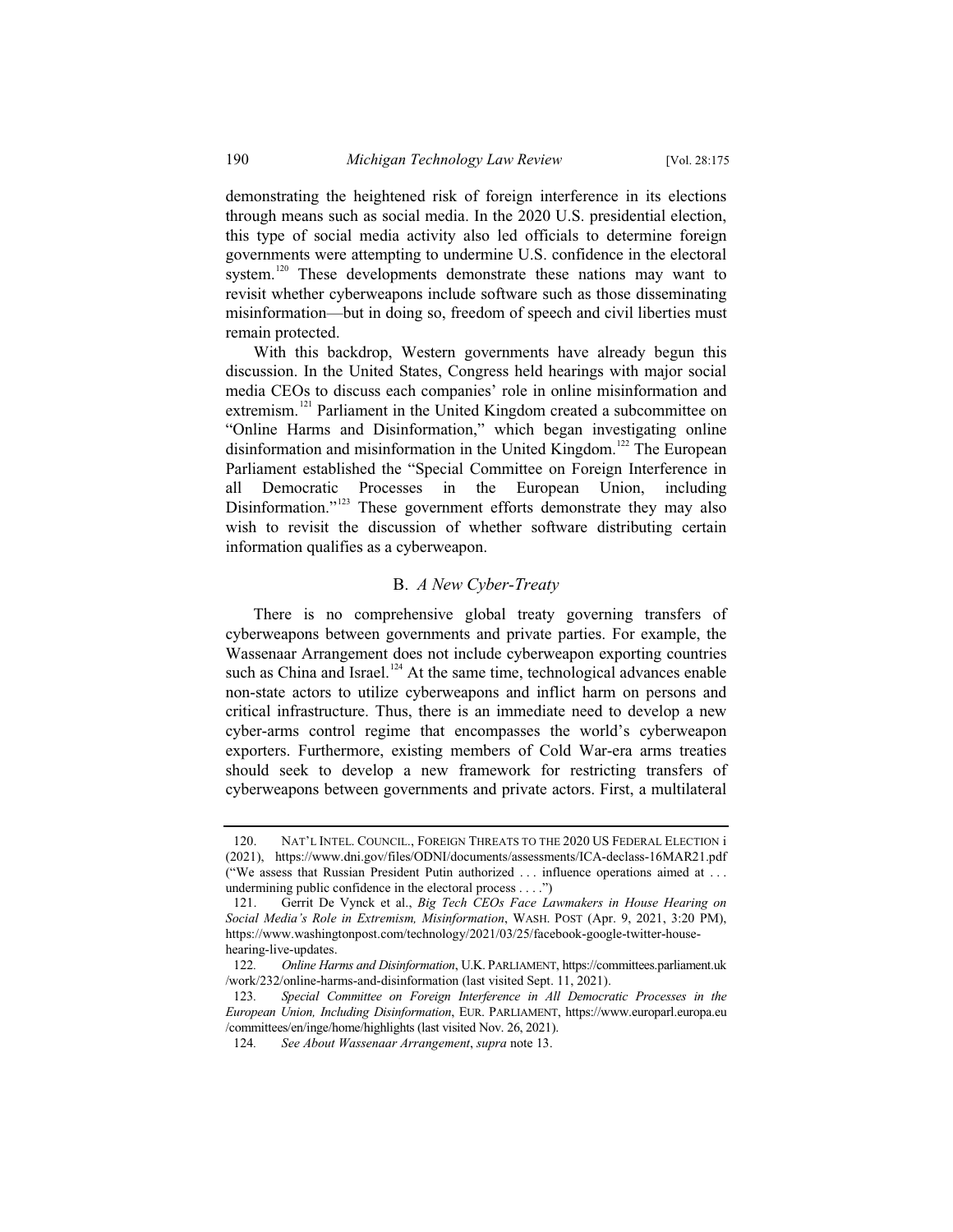demonstrating the heightened risk of foreign interference in its elections through means such as social media. In the 2020 U.S. presidential election, this type of social media activity also led officials to determine foreign governments were attempting to undermine U.S. confidence in the electoral system.<sup>120</sup> These developments demonstrate these nations may want to revisit whether cyberweapons include software such as those disseminating misinformation—but in doing so, freedom of speech and civil liberties must remain protected.

With this backdrop, Western governments have already begun this discussion. In the United States, Congress held hearings with major social media CEOs to discuss each companies' role in online misinformation and extremism.<sup>121</sup> Parliament in the United Kingdom created a subcommittee on "Online Harms and Disinformation," which began investigating online disinformation and misinformation in the United Kingdom.<sup>122</sup> The European Parliament established the "Special Committee on Foreign Interference in all Democratic Processes in the European Union, including Disinformation."<sup>123</sup> These government efforts demonstrate they may also wish to revisit the discussion of whether software distributing certain information qualifies as a cyberweapon.

#### B. *A New Cyber-Treaty*

There is no comprehensive global treaty governing transfers of cyberweapons between governments and private parties. For example, the Wassenaar Arrangement does not include cyberweapon exporting countries such as China and Israel.<sup>124</sup> At the same time, technological advances enable non-state actors to utilize cyberweapons and inflict harm on persons and critical infrastructure. Thus, there is an immediate need to develop a new cyber-arms control regime that encompasses the world's cyberweapon exporters. Furthermore, existing members of Cold War-era arms treaties should seek to develop a new framework for restricting transfers of cyberweapons between governments and private actors. First, a multilateral

<sup>120.</sup> NAT'L INTEL. COUNCIL., FOREIGN THREATS TO THE 2020 US FEDERAL ELECTION i (2021), https://www.dni.gov/files/ODNI/documents/assessments/ICA-declass-16MAR21.pdf ("We assess that Russian President Putin authorized . . . influence operations aimed at . . . undermining public confidence in the electoral process . . . .")

<sup>121.</sup> Gerrit De Vynck et al., *Big Tech CEOs Face Lawmakers in House Hearing on Social Media's Role in Extremism, Misinformation*, WASH. POST (Apr. 9, 2021, 3:20 PM), https://www.washingtonpost.com/technology/2021/03/25/facebook-google-twitter-househearing-live-updates.

<sup>122</sup>*. Online Harms and Disinformation*, U.K. PARLIAMENT, https://committees.parliament.uk /work/232/online-harms-and-disinformation (last visited Sept. 11, 2021).

<sup>123</sup>*. Special Committee on Foreign Interference in All Democratic Processes in the European Union, Including Disinformation*, EUR. PARLIAMENT, https://www.europarl.europa.eu /committees/en/inge/home/highlights (last visited Nov. 26, 2021).

<sup>124</sup>*. See About Wassenaar Arrangement*, *supra* note 13.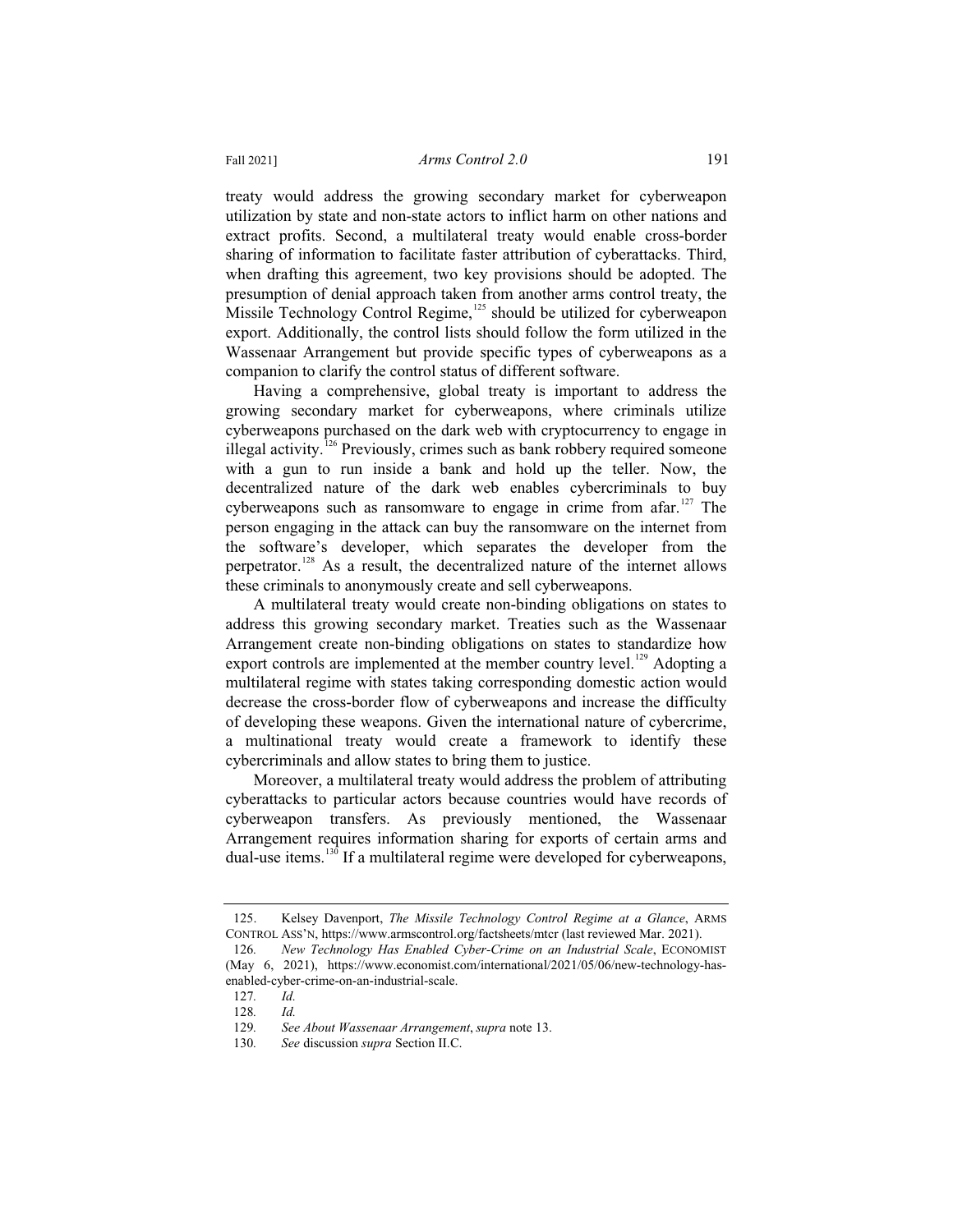treaty would address the growing secondary market for cyberweapon utilization by state and non-state actors to inflict harm on other nations and extract profits. Second, a multilateral treaty would enable cross-border sharing of information to facilitate faster attribution of cyberattacks. Third, when drafting this agreement, two key provisions should be adopted. The presumption of denial approach taken from another arms control treaty, the Missile Technology Control Regime, $125$  should be utilized for cyberweapon export. Additionally, the control lists should follow the form utilized in the Wassenaar Arrangement but provide specific types of cyberweapons as a companion to clarify the control status of different software.

Having a comprehensive, global treaty is important to address the growing secondary market for cyberweapons, where criminals utilize cyberweapons purchased on the dark web with cryptocurrency to engage in illegal activity.<sup>126</sup> Previously, crimes such as bank robbery required someone with a gun to run inside a bank and hold up the teller. Now, the decentralized nature of the dark web enables cybercriminals to buy cyberweapons such as ransomware to engage in crime from afar.<sup>127</sup> The person engaging in the attack can buy the ransomware on the internet from the software's developer, which separates the developer from the perpetrator.<sup>128</sup> As a result, the decentralized nature of the internet allows these criminals to anonymously create and sell cyberweapons.

A multilateral treaty would create non-binding obligations on states to address this growing secondary market. Treaties such as the Wassenaar Arrangement create non-binding obligations on states to standardize how export controls are implemented at the member country level.<sup>129</sup> Adopting a multilateral regime with states taking corresponding domestic action would decrease the cross-border flow of cyberweapons and increase the difficulty of developing these weapons. Given the international nature of cybercrime, a multinational treaty would create a framework to identify these cybercriminals and allow states to bring them to justice.

Moreover, a multilateral treaty would address the problem of attributing cyberattacks to particular actors because countries would have records of cyberweapon transfers. As previously mentioned, the Wassenaar Arrangement requires information sharing for exports of certain arms and dual-use items.<sup>130</sup> If a multilateral regime were developed for cyberweapons,

<sup>125.</sup> Kelsey Davenport, *The Missile Technology Control Regime at a Glance*, ARMS CONTROL ASS'N, https://www.armscontrol.org/factsheets/mtcr (last reviewed Mar. 2021).

<sup>126</sup>*. New Technology Has Enabled Cyber-Crime on an Industrial Scale*, ECONOMIST (May 6, 2021), https://www.economist.com/international/2021/05/06/new-technology-hasenabled-cyber-crime-on-an-industrial-scale.

<sup>127</sup>*. Id.*

<sup>128</sup>*. Id.*

<sup>129</sup>*. See About Wassenaar Arrangement*, *supra* note 13.

<sup>130</sup>*. See* discussion *supra* Section II.C.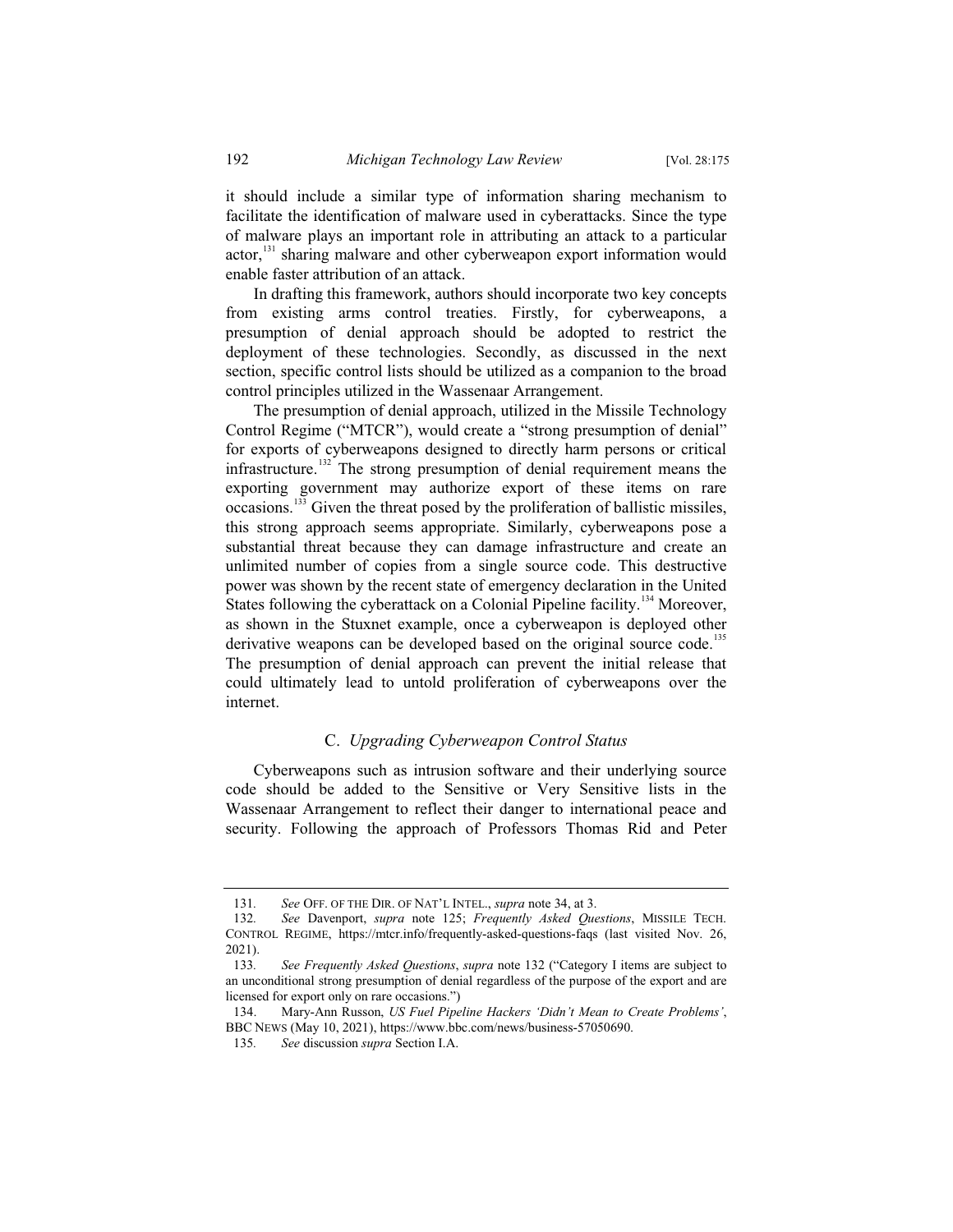it should include a similar type of information sharing mechanism to facilitate the identification of malware used in cyberattacks. Since the type of malware plays an important role in attributing an attack to a particular actor,<sup>131</sup> sharing malware and other cyberweapon export information would enable faster attribution of an attack.

In drafting this framework, authors should incorporate two key concepts from existing arms control treaties. Firstly, for cyberweapons, a presumption of denial approach should be adopted to restrict the deployment of these technologies. Secondly, as discussed in the next section, specific control lists should be utilized as a companion to the broad control principles utilized in the Wassenaar Arrangement.

The presumption of denial approach, utilized in the Missile Technology Control Regime ("MTCR"), would create a "strong presumption of denial" for exports of cyberweapons designed to directly harm persons or critical infrastructure.<sup>132</sup> The strong presumption of denial requirement means the exporting government may authorize export of these items on rare occasions.<sup>133</sup> Given the threat posed by the proliferation of ballistic missiles, this strong approach seems appropriate. Similarly, cyberweapons pose a substantial threat because they can damage infrastructure and create an unlimited number of copies from a single source code. This destructive power was shown by the recent state of emergency declaration in the United States following the cyberattack on a Colonial Pipeline facility.<sup>134</sup> Moreover, as shown in the Stuxnet example, once a cyberweapon is deployed other derivative weapons can be developed based on the original source code.<sup>135</sup> The presumption of denial approach can prevent the initial release that

could ultimately lead to untold proliferation of cyberweapons over the internet.

## C. *Upgrading Cyberweapon Control Status*

Cyberweapons such as intrusion software and their underlying source code should be added to the Sensitive or Very Sensitive lists in the Wassenaar Arrangement to reflect their danger to international peace and security. Following the approach of Professors Thomas Rid and Peter

<sup>131</sup>*. See* OFF. OF THE DIR. OF NAT'L INTEL., *supra* note 34, at 3.

<sup>132</sup>*. See* Davenport, *supra* note 125; *Frequently Asked Questions*, MISSILE TECH. CONTROL REGIME, https://mtcr.info/frequently-asked-questions-faqs (last visited Nov. 26, 2021).

<sup>133</sup>*. See Frequently Asked Questions*, *supra* note 132 ("Category I items are subject to an unconditional strong presumption of denial regardless of the purpose of the export and are licensed for export only on rare occasions.")

<sup>134.</sup> Mary-Ann Russon, *US Fuel Pipeline Hackers 'Didn't Mean to Create Problems'*, BBC NEWS (May 10, 2021), https://www.bbc.com/news/business-57050690.

<sup>135</sup>*. See* discussion *supra* Section I.A.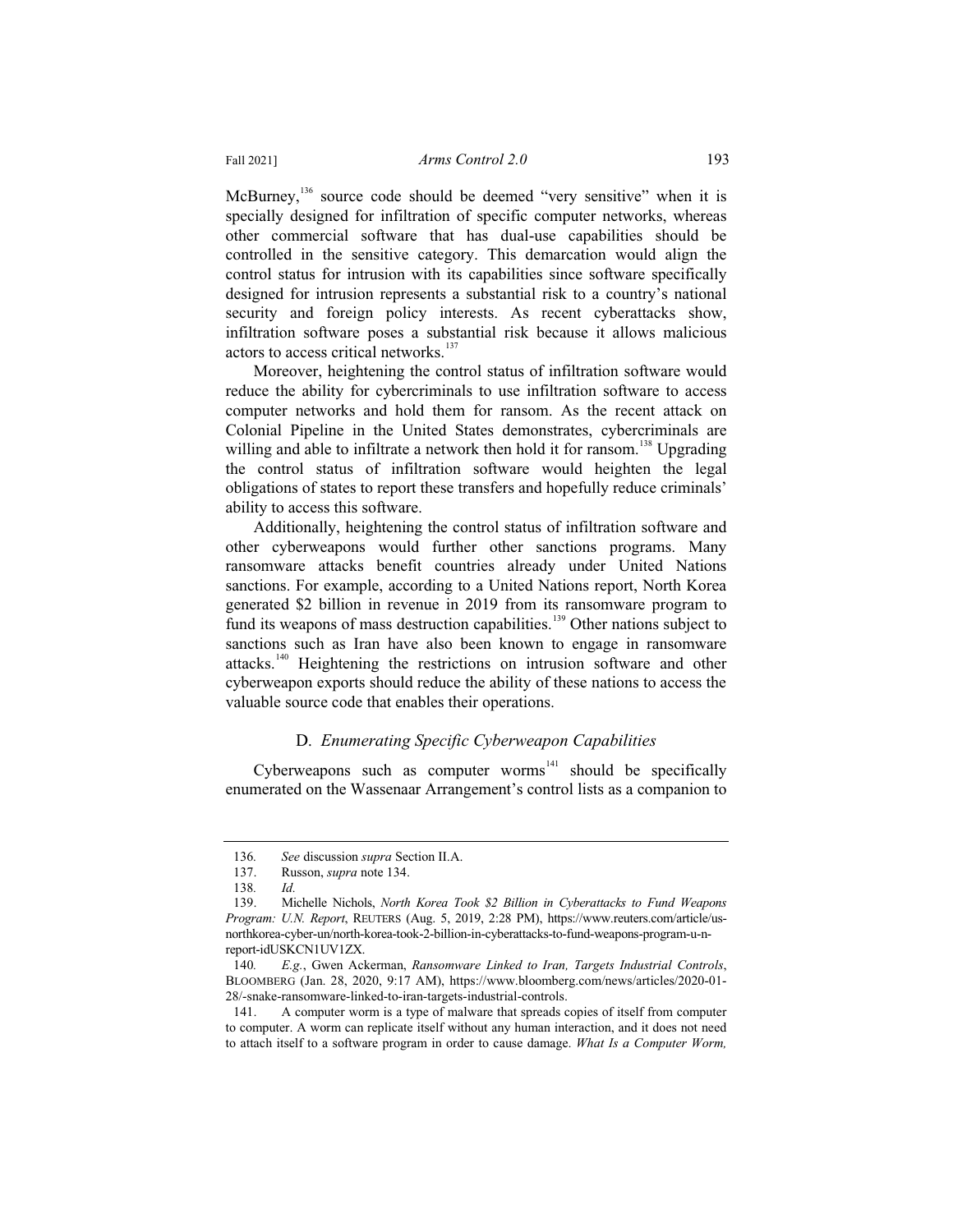McBurney,<sup>136</sup> source code should be deemed "very sensitive" when it is specially designed for infiltration of specific computer networks, whereas other commercial software that has dual-use capabilities should be controlled in the sensitive category. This demarcation would align the control status for intrusion with its capabilities since software specifically designed for intrusion represents a substantial risk to a country's national security and foreign policy interests. As recent cyberattacks show, infiltration software poses a substantial risk because it allows malicious actors to access critical networks.<sup>137</sup>

Moreover, heightening the control status of infiltration software would reduce the ability for cybercriminals to use infiltration software to access computer networks and hold them for ransom. As the recent attack on Colonial Pipeline in the United States demonstrates, cybercriminals are willing and able to infiltrate a network then hold it for ransom.<sup>138</sup> Upgrading the control status of infiltration software would heighten the legal obligations of states to report these transfers and hopefully reduce criminals' ability to access this software.

Additionally, heightening the control status of infiltration software and other cyberweapons would further other sanctions programs. Many ransomware attacks benefit countries already under United Nations sanctions. For example, according to a United Nations report, North Korea generated \$2 billion in revenue in 2019 from its ransomware program to fund its weapons of mass destruction capabilities.<sup>139</sup> Other nations subject to sanctions such as Iran have also been known to engage in ransomware attacks.<sup>140</sup> Heightening the restrictions on intrusion software and other cyberweapon exports should reduce the ability of these nations to access the valuable source code that enables their operations.

## D. *Enumerating Specific Cyberweapon Capabilities*

Cyberweapons such as computer worms $141$  should be specifically enumerated on the Wassenaar Arrangement's control lists as a companion to

<sup>136</sup>*. See* discussion *supra* Section II.A.

Russon, *supra* note 134.

<sup>138</sup>*. Id.*

<sup>139.</sup> Michelle Nichols, *North Korea Took \$2 Billion in Cyberattacks to Fund Weapons Program: U.N. Report*, REUTERS (Aug. 5, 2019, 2:28 PM), https://www.reuters.com/article/usnorthkorea-cyber-un/north-korea-took-2-billion-in-cyberattacks-to-fund-weapons-program-u-nreport-idUSKCN1UV1ZX.

<sup>140</sup>*. E.g.*, Gwen Ackerman, *Ransomware Linked to Iran, Targets Industrial Controls*, BLOOMBERG (Jan. 28, 2020, 9:17 AM), https://www.bloomberg.com/news/articles/2020-01- 28/-snake-ransomware-linked-to-iran-targets-industrial-controls.

<sup>141.</sup> A computer worm is a type of malware that spreads copies of itself from computer to computer. A worm can replicate itself without any human interaction, and it does not need to attach itself to a software program in order to cause damage. *What Is a Computer Worm,*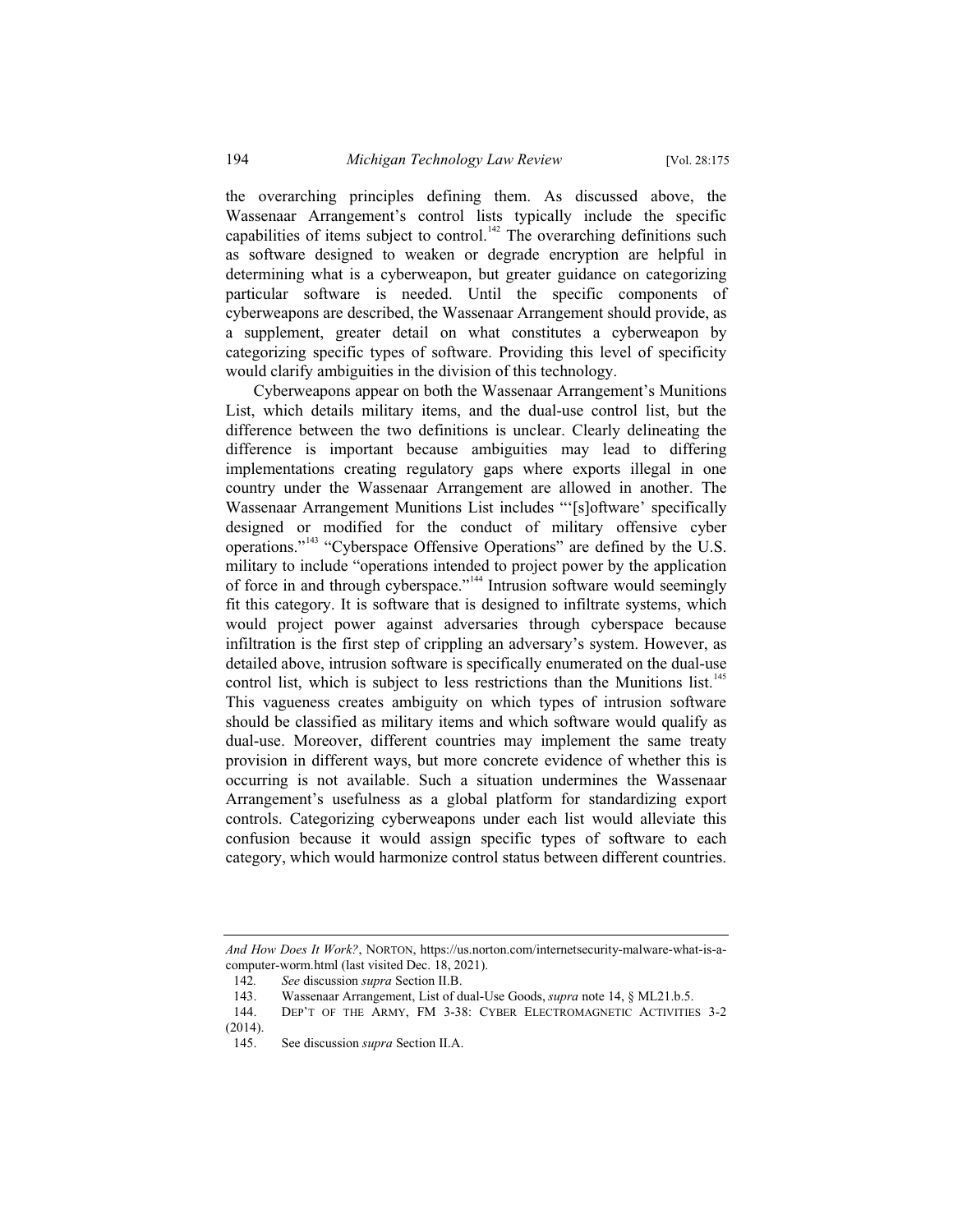the overarching principles defining them. As discussed above, the Wassenaar Arrangement's control lists typically include the specific capabilities of items subject to control.<sup>142</sup> The overarching definitions such as software designed to weaken or degrade encryption are helpful in determining what is a cyberweapon, but greater guidance on categorizing particular software is needed. Until the specific components of cyberweapons are described, the Wassenaar Arrangement should provide, as a supplement, greater detail on what constitutes a cyberweapon by categorizing specific types of software. Providing this level of specificity would clarify ambiguities in the division of this technology.

Cyberweapons appear on both the Wassenaar Arrangement's Munitions List, which details military items, and the dual-use control list, but the difference between the two definitions is unclear. Clearly delineating the difference is important because ambiguities may lead to differing implementations creating regulatory gaps where exports illegal in one country under the Wassenaar Arrangement are allowed in another. The Wassenaar Arrangement Munitions List includes "'[s]oftware' specifically designed or modified for the conduct of military offensive cyber operations."<sup>143</sup> "Cyberspace Offensive Operations" are defined by the U.S. military to include "operations intended to project power by the application of force in and through cyberspace."<sup>144</sup> Intrusion software would seemingly fit this category. It is software that is designed to infiltrate systems, which would project power against adversaries through cyberspace because infiltration is the first step of crippling an adversary's system. However, as detailed above, intrusion software is specifically enumerated on the dual-use control list, which is subject to less restrictions than the Munitions list.<sup>145</sup> This vagueness creates ambiguity on which types of intrusion software should be classified as military items and which software would qualify as dual-use. Moreover, different countries may implement the same treaty provision in different ways, but more concrete evidence of whether this is occurring is not available. Such a situation undermines the Wassenaar Arrangement's usefulness as a global platform for standardizing export controls. Categorizing cyberweapons under each list would alleviate this confusion because it would assign specific types of software to each category, which would harmonize control status between different countries.

*And How Does It Work?*, NORTON, https://us.norton.com/internetsecurity-malware-what-is-acomputer-worm.html (last visited Dec. 18, 2021).

<sup>142</sup>*. See* discussion *supra* Section II.B.

<sup>143.</sup> Wassenaar Arrangement, List of dual-Use Goods, *supra* note 14, § ML21.b.5.

<sup>144.</sup> DEP'T OF THE ARMY, FM 3-38: CYBER ELECTROMAGNETIC ACTIVITIES 3-2 (2014).

<sup>145.</sup> See discussion *supra* Section II.A.